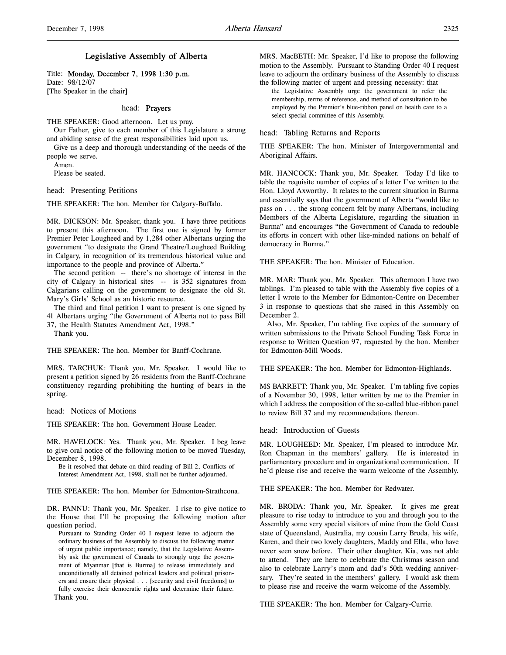# Legislative Assembly of Alberta

Title: Monday, December 7, 1998 1:30 p.m. Date: 98/12/07 [The Speaker in the chair]

### head: Prayers

THE SPEAKER: Good afternoon. Let us pray.

Our Father, give to each member of this Legislature a strong and abiding sense of the great responsibilities laid upon us.

Give us a deep and thorough understanding of the needs of the people we serve.

Amen.

Please be seated.

head: Presenting Petitions

THE SPEAKER: The hon. Member for Calgary-Buffalo.

MR. DICKSON: Mr. Speaker, thank you. I have three petitions to present this afternoon. The first one is signed by former Premier Peter Lougheed and by 1,284 other Albertans urging the government "to designate the Grand Theatre/Lougheed Building in Calgary, in recognition of its tremendous historical value and importance to the people and province of Alberta."

The second petition -- there's no shortage of interest in the city of Calgary in historical sites -- is 352 signatures from Calgarians calling on the government to designate the old St. Mary's Girls' School as an historic resource.

The third and final petition I want to present is one signed by 41 Albertans urging "the Government of Alberta not to pass Bill 37, the Health Statutes Amendment Act, 1998."

Thank you.

THE SPEAKER: The hon. Member for Banff-Cochrane.

MRS. TARCHUK: Thank you, Mr. Speaker. I would like to present a petition signed by 26 residents from the Banff-Cochrane constituency regarding prohibiting the hunting of bears in the spring.

head: Notices of Motions

THE SPEAKER: The hon. Government House Leader.

MR. HAVELOCK: Yes. Thank you, Mr. Speaker. I beg leave to give oral notice of the following motion to be moved Tuesday, December 8, 1998.

Be it resolved that debate on third reading of Bill 2, Conflicts of Interest Amendment Act, 1998, shall not be further adjourned.

THE SPEAKER: The hon. Member for Edmonton-Strathcona.

DR. PANNU: Thank you, Mr. Speaker. I rise to give notice to the House that I'll be proposing the following motion after question period.

Pursuant to Standing Order 40 I request leave to adjourn the ordinary business of the Assembly to discuss the following matter of urgent public importance; namely, that the Legislative Assembly ask the government of Canada to strongly urge the government of Myanmar [that is Burma] to release immediately and unconditionally all detained political leaders and political prisoners and ensure their physical . . . [security and civil freedoms] to fully exercise their democratic rights and determine their future. Thank you.

MRS. MacBETH: Mr. Speaker, I'd like to propose the following motion to the Assembly. Pursuant to Standing Order 40 I request leave to adjourn the ordinary business of the Assembly to discuss

the following matter of urgent and pressing necessity: that the Legislative Assembly urge the government to refer the membership, terms of reference, and method of consultation to be employed by the Premier's blue-ribbon panel on health care to a select special committee of this Assembly.

head: Tabling Returns and Reports

THE SPEAKER: The hon. Minister of Intergovernmental and Aboriginal Affairs.

MR. HANCOCK: Thank you, Mr. Speaker. Today I'd like to table the requisite number of copies of a letter I've written to the Hon. Lloyd Axworthy. It relates to the current situation in Burma and essentially says that the government of Alberta "would like to pass on . . . the strong concern felt by many Albertans, including Members of the Alberta Legislature, regarding the situation in Burma" and encourages "the Government of Canada to redouble its efforts in concert with other like-minded nations on behalf of democracy in Burma."

THE SPEAKER: The hon. Minister of Education.

MR. MAR: Thank you, Mr. Speaker. This afternoon I have two tablings. I'm pleased to table with the Assembly five copies of a letter I wrote to the Member for Edmonton-Centre on December 3 in response to questions that she raised in this Assembly on December 2.

Also, Mr. Speaker, I'm tabling five copies of the summary of written submissions to the Private School Funding Task Force in response to Written Question 97, requested by the hon. Member for Edmonton-Mill Woods.

THE SPEAKER: The hon. Member for Edmonton-Highlands.

MS BARRETT: Thank you, Mr. Speaker. I'm tabling five copies of a November 30, 1998, letter written by me to the Premier in which I address the composition of the so-called blue-ribbon panel to review Bill 37 and my recommendations thereon.

head: Introduction of Guests

MR. LOUGHEED: Mr. Speaker, I'm pleased to introduce Mr. Ron Chapman in the members' gallery. He is interested in parliamentary procedure and in organizational communication. If he'd please rise and receive the warm welcome of the Assembly.

THE SPEAKER: The hon. Member for Redwater.

MR. BRODA: Thank you, Mr. Speaker. It gives me great pleasure to rise today to introduce to you and through you to the Assembly some very special visitors of mine from the Gold Coast state of Queensland, Australia, my cousin Larry Broda, his wife, Karen, and their two lovely daughters, Maddy and Ella, who have never seen snow before. Their other daughter, Kia, was not able to attend. They are here to celebrate the Christmas season and also to celebrate Larry's mom and dad's 50th wedding anniversary. They're seated in the members' gallery. I would ask them to please rise and receive the warm welcome of the Assembly.

THE SPEAKER: The hon. Member for Calgary-Currie.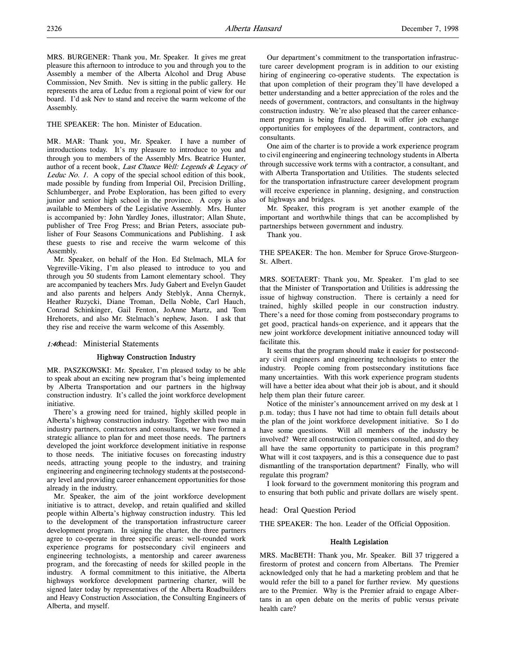MRS. BURGENER: Thank you, Mr. Speaker. It gives me great pleasure this afternoon to introduce to you and through you to the Assembly a member of the Alberta Alcohol and Drug Abuse Commission, Nev Smith. Nev is sitting in the public gallery. He represents the area of Leduc from a regional point of view for our board. I'd ask Nev to stand and receive the warm welcome of the Assembly.

THE SPEAKER: The hon. Minister of Education.

MR. MAR: Thank you, Mr. Speaker. I have a number of introductions today. It's my pleasure to introduce to you and through you to members of the Assembly Mrs. Beatrice Hunter, author of a recent book, Last Chance Well: Legends & Legacy of Leduc No. 1. A copy of the special school edition of this book, made possible by funding from Imperial Oil, Precision Drilling, Schlumberger, and Probe Exploration, has been gifted to every junior and senior high school in the province. A copy is also available to Members of the Legislative Assembly. Mrs. Hunter is accompanied by: John Yardley Jones, illustrator; Allan Shute, publisher of Tree Frog Press; and Brian Peters, associate publisher of Four Seasons Communications and Publishing. I ask these guests to rise and receive the warm welcome of this Assembly.

Mr. Speaker, on behalf of the Hon. Ed Stelmach, MLA for Vegreville-Viking, I'm also pleased to introduce to you and through you 50 students from Lamont elementary school. They are accompanied by teachers Mrs. Judy Gabert and Evelyn Gaudet and also parents and helpers Andy Steblyk, Anna Chernyk, Heather Ruzycki, Diane Troman, Della Noble, Carl Hauch, Conrad Schinkinger, Gail Fenton, JoAnne Martz, and Tom Hrehorets, and also Mr. Stelmach's nephew, Jason. I ask that they rise and receive the warm welcome of this Assembly.

#### 1:40head: Ministerial Statements

#### Highway Construction Industry

MR. PASZKOWSKI: Mr. Speaker, I'm pleased today to be able to speak about an exciting new program that's being implemented by Alberta Transportation and our partners in the highway construction industry. It's called the joint workforce development initiative.

There's a growing need for trained, highly skilled people in Alberta's highway construction industry. Together with two main industry partners, contractors and consultants, we have formed a strategic alliance to plan for and meet those needs. The partners developed the joint workforce development initiative in response to those needs. The initiative focuses on forecasting industry needs, attracting young people to the industry, and training engineering and engineering technology students at the postsecondary level and providing career enhancement opportunities for those already in the industry.

Mr. Speaker, the aim of the joint workforce development initiative is to attract, develop, and retain qualified and skilled people within Alberta's highway construction industry. This led to the development of the transportation infrastructure career development program. In signing the charter, the three partners agree to co-operate in three specific areas: well-rounded work experience programs for postsecondary civil engineers and engineering technologists, a mentorship and career awareness program, and the forecasting of needs for skilled people in the industry. A formal commitment to this initiative, the Alberta highways workforce development partnering charter, will be signed later today by representatives of the Alberta Roadbuilders and Heavy Construction Association, the Consulting Engineers of Alberta, and myself.

Our department's commitment to the transportation infrastructure career development program is in addition to our existing hiring of engineering co-operative students. The expectation is that upon completion of their program they'll have developed a better understanding and a better appreciation of the roles and the needs of government, contractors, and consultants in the highway construction industry. We're also pleased that the career enhancement program is being finalized. It will offer job exchange opportunities for employees of the department, contractors, and consultants.

One aim of the charter is to provide a work experience program to civil engineering and engineering technology students in Alberta through successive work terms with a contractor, a consultant, and with Alberta Transportation and Utilities. The students selected for the transportation infrastructure career development program will receive experience in planning, designing, and construction of highways and bridges.

Mr. Speaker, this program is yet another example of the important and worthwhile things that can be accomplished by partnerships between government and industry.

Thank you.

THE SPEAKER: The hon. Member for Spruce Grove-Sturgeon-St. Albert.

MRS. SOETAERT: Thank you, Mr. Speaker. I'm glad to see that the Minister of Transportation and Utilities is addressing the issue of highway construction. There is certainly a need for trained, highly skilled people in our construction industry. There's a need for those coming from postsecondary programs to get good, practical hands-on experience, and it appears that the new joint workforce development initiative announced today will facilitate this.

It seems that the program should make it easier for postsecondary civil engineers and engineering technologists to enter the industry. People coming from postsecondary institutions face many uncertainties. With this work experience program students will have a better idea about what their job is about, and it should help them plan their future career.

Notice of the minister's announcement arrived on my desk at 1 p.m. today; thus I have not had time to obtain full details about the plan of the joint workforce development initiative. So I do have some questions. Will all members of the industry be involved? Were all construction companies consulted, and do they all have the same opportunity to participate in this program? What will it cost taxpayers, and is this a consequence due to past dismantling of the transportation department? Finally, who will regulate this program?

I look forward to the government monitoring this program and to ensuring that both public and private dollars are wisely spent.

#### head: Oral Question Period

THE SPEAKER: The hon. Leader of the Official Opposition.

### Health Legislation

MRS. MacBETH: Thank you, Mr. Speaker. Bill 37 triggered a firestorm of protest and concern from Albertans. The Premier acknowledged only that he had a marketing problem and that he would refer the bill to a panel for further review. My questions are to the Premier. Why is the Premier afraid to engage Albertans in an open debate on the merits of public versus private health care?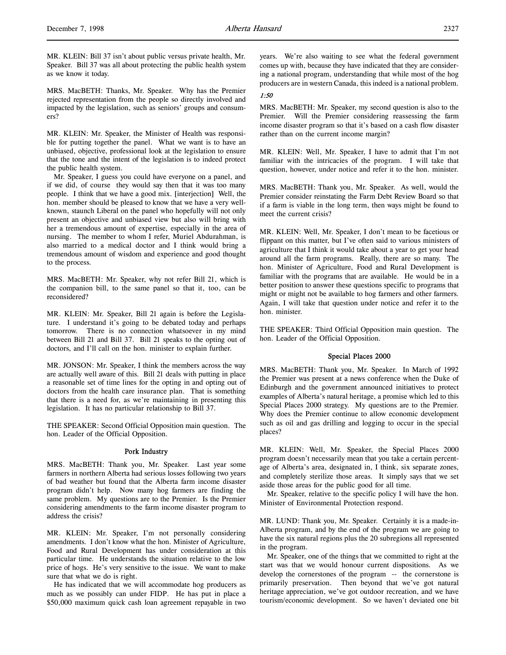MR. KLEIN: Bill 37 isn't about public versus private health, Mr. Speaker. Bill 37 was all about protecting the public health system as we know it today.

MRS. MacBETH: Thanks, Mr. Speaker. Why has the Premier rejected representation from the people so directly involved and impacted by the legislation, such as seniors' groups and consumers?

MR. KLEIN: Mr. Speaker, the Minister of Health was responsible for putting together the panel. What we want is to have an unbiased, objective, professional look at the legislation to ensure that the tone and the intent of the legislation is to indeed protect the public health system.

Mr. Speaker, I guess you could have everyone on a panel, and if we did, of course they would say then that it was too many people. I think that we have a good mix. [interjection] Well, the hon. member should be pleased to know that we have a very wellknown, staunch Liberal on the panel who hopefully will not only present an objective and unbiased view but also will bring with her a tremendous amount of expertise, especially in the area of nursing. The member to whom I refer, Muriel Abdurahman, is also married to a medical doctor and I think would bring a tremendous amount of wisdom and experience and good thought to the process.

MRS. MacBETH: Mr. Speaker, why not refer Bill 21, which is the companion bill, to the same panel so that it, too, can be reconsidered?

MR. KLEIN: Mr. Speaker, Bill 21 again is before the Legislature. I understand it's going to be debated today and perhaps tomorrow. There is no connection whatsoever in my mind between Bill 21 and Bill 37. Bill 21 speaks to the opting out of doctors, and I'll call on the hon. minister to explain further.

MR. JONSON: Mr. Speaker, I think the members across the way are actually well aware of this. Bill 21 deals with putting in place a reasonable set of time lines for the opting in and opting out of doctors from the health care insurance plan. That is something that there is a need for, as we're maintaining in presenting this legislation. It has no particular relationship to Bill 37.

THE SPEAKER: Second Official Opposition main question. The hon. Leader of the Official Opposition.

#### Pork Industry

MRS. MacBETH: Thank you, Mr. Speaker. Last year some farmers in northern Alberta had serious losses following two years of bad weather but found that the Alberta farm income disaster program didn't help. Now many hog farmers are finding the same problem. My questions are to the Premier. Is the Premier considering amendments to the farm income disaster program to address the crisis?

MR. KLEIN: Mr. Speaker, I'm not personally considering amendments. I don't know what the hon. Minister of Agriculture, Food and Rural Development has under consideration at this particular time. He understands the situation relative to the low price of hogs. He's very sensitive to the issue. We want to make sure that what we do is right.

He has indicated that we will accommodate hog producers as much as we possibly can under FIDP. He has put in place a \$50,000 maximum quick cash loan agreement repayable in two

years. We're also waiting to see what the federal government comes up with, because they have indicated that they are considering a national program, understanding that while most of the hog producers are in western Canada, this indeed is a national problem.

# 1:50

MRS. MacBETH: Mr. Speaker, my second question is also to the Premier. Will the Premier considering reassessing the farm income disaster program so that it's based on a cash flow disaster rather than on the current income margin?

MR. KLEIN: Well, Mr. Speaker, I have to admit that I'm not familiar with the intricacies of the program. I will take that question, however, under notice and refer it to the hon. minister.

MRS. MacBETH: Thank you, Mr. Speaker. As well, would the Premier consider reinstating the Farm Debt Review Board so that if a farm is viable in the long term, then ways might be found to meet the current crisis?

MR. KLEIN: Well, Mr. Speaker, I don't mean to be facetious or flippant on this matter, but I've often said to various ministers of agriculture that I think it would take about a year to get your head around all the farm programs. Really, there are so many. The hon. Minister of Agriculture, Food and Rural Development is familiar with the programs that are available. He would be in a better position to answer these questions specific to programs that might or might not be available to hog farmers and other farmers. Again, I will take that question under notice and refer it to the hon. minister.

THE SPEAKER: Third Official Opposition main question. The hon. Leader of the Official Opposition.

## Special Places 2000

MRS. MacBETH: Thank you, Mr. Speaker. In March of 1992 the Premier was present at a news conference when the Duke of Edinburgh and the government announced initiatives to protect examples of Alberta's natural heritage, a promise which led to this Special Places 2000 strategy. My questions are to the Premier. Why does the Premier continue to allow economic development such as oil and gas drilling and logging to occur in the special places?

MR. KLEIN: Well, Mr. Speaker, the Special Places 2000 program doesn't necessarily mean that you take a certain percentage of Alberta's area, designated in, I think, six separate zones, and completely sterilize those areas. It simply says that we set aside those areas for the public good for all time.

Mr. Speaker, relative to the specific policy I will have the hon. Minister of Environmental Protection respond.

MR. LUND: Thank you, Mr. Speaker. Certainly it is a made-in-Alberta program, and by the end of the program we are going to have the six natural regions plus the 20 subregions all represented in the program.

Mr. Speaker, one of the things that we committed to right at the start was that we would honour current dispositions. As we develop the cornerstones of the program -- the cornerstone is primarily preservation. Then beyond that we've got natural heritage appreciation, we've got outdoor recreation, and we have tourism/economic development. So we haven't deviated one bit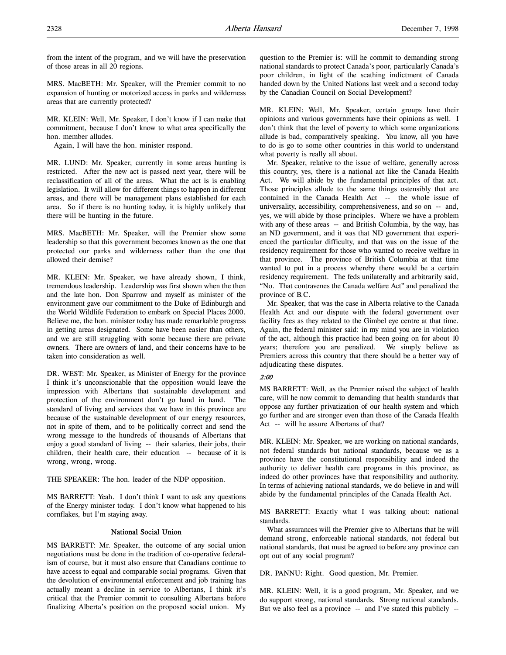from the intent of the program, and we will have the preservation of those areas in all 20 regions.

MRS. MacBETH: Mr. Speaker, will the Premier commit to no expansion of hunting or motorized access in parks and wilderness areas that are currently protected?

MR. KLEIN: Well, Mr. Speaker, I don't know if I can make that commitment, because I don't know to what area specifically the hon. member alludes.

Again, I will have the hon. minister respond.

MR. LUND: Mr. Speaker, currently in some areas hunting is restricted. After the new act is passed next year, there will be reclassification of all of the areas. What the act is is enabling legislation. It will allow for different things to happen in different areas, and there will be management plans established for each area. So if there is no hunting today, it is highly unlikely that there will be hunting in the future.

MRS. MacBETH: Mr. Speaker, will the Premier show some leadership so that this government becomes known as the one that protected our parks and wilderness rather than the one that allowed their demise?

MR. KLEIN: Mr. Speaker, we have already shown, I think, tremendous leadership. Leadership was first shown when the then and the late hon. Don Sparrow and myself as minister of the environment gave our commitment to the Duke of Edinburgh and the World Wildlife Federation to embark on Special Places 2000. Believe me, the hon. minister today has made remarkable progress in getting areas designated. Some have been easier than others, and we are still struggling with some because there are private owners. There are owners of land, and their concerns have to be taken into consideration as well.

DR. WEST: Mr. Speaker, as Minister of Energy for the province I think it's unconscionable that the opposition would leave the impression with Albertans that sustainable development and protection of the environment don't go hand in hand. The standard of living and services that we have in this province are because of the sustainable development of our energy resources, not in spite of them, and to be politically correct and send the wrong message to the hundreds of thousands of Albertans that enjoy a good standard of living -- their salaries, their jobs, their children, their health care, their education -- because of it is wrong, wrong, wrong.

THE SPEAKER: The hon. leader of the NDP opposition.

MS BARRETT: Yeah. I don't think I want to ask any questions of the Energy minister today. I don't know what happened to his cornflakes, but I'm staying away.

## National Social Union

MS BARRETT: Mr. Speaker, the outcome of any social union negotiations must be done in the tradition of co-operative federalism of course, but it must also ensure that Canadians continue to have access to equal and comparable social programs. Given that the devolution of environmental enforcement and job training has actually meant a decline in service to Albertans, I think it's critical that the Premier commit to consulting Albertans before finalizing Alberta's position on the proposed social union. My

question to the Premier is: will he commit to demanding strong national standards to protect Canada's poor, particularly Canada's poor children, in light of the scathing indictment of Canada handed down by the United Nations last week and a second today by the Canadian Council on Social Development?

MR. KLEIN: Well, Mr. Speaker, certain groups have their opinions and various governments have their opinions as well. I don't think that the level of poverty to which some organizations allude is bad, comparatively speaking. You know, all you have to do is go to some other countries in this world to understand what poverty is really all about.

Mr. Speaker, relative to the issue of welfare, generally across this country, yes, there is a national act like the Canada Health Act. We will abide by the fundamental principles of that act. Those principles allude to the same things ostensibly that are contained in the Canada Health Act -- the whole issue of universality, accessibility, comprehensiveness, and so on -- and, yes, we will abide by those principles. Where we have a problem with any of these areas -- and British Columbia, by the way, has an ND government, and it was that ND government that experienced the particular difficulty, and that was on the issue of the residency requirement for those who wanted to receive welfare in that province. The province of British Columbia at that time wanted to put in a process whereby there would be a certain residency requirement. The feds unilaterally and arbitrarily said, "No. That contravenes the Canada welfare Act" and penalized the province of B.C.

Mr. Speaker, that was the case in Alberta relative to the Canada Health Act and our dispute with the federal government over facility fees as they related to the Gimbel eye centre at that time. Again, the federal minister said: in my mind you are in violation of the act, although this practice had been going on for about 10 years; therefore you are penalized. We simply believe as Premiers across this country that there should be a better way of adjudicating these disputes.

### 2:00

MS BARRETT: Well, as the Premier raised the subject of health care, will he now commit to demanding that health standards that oppose any further privatization of our health system and which go further and are stronger even than those of the Canada Health Act -- will he assure Albertans of that?

MR. KLEIN: Mr. Speaker, we are working on national standards, not federal standards but national standards, because we as a province have the constitutional responsibility and indeed the authority to deliver health care programs in this province, as indeed do other provinces have that responsibility and authority. In terms of achieving national standards, we do believe in and will abide by the fundamental principles of the Canada Health Act.

MS BARRETT: Exactly what I was talking about: national standards.

What assurances will the Premier give to Albertans that he will demand strong, enforceable national standards, not federal but national standards, that must be agreed to before any province can opt out of any social program?

DR. PANNU: Right. Good question, Mr. Premier.

MR. KLEIN: Well, it is a good program, Mr. Speaker, and we do support strong, national standards. Strong national standards. But we also feel as a province -- and I've stated this publicly --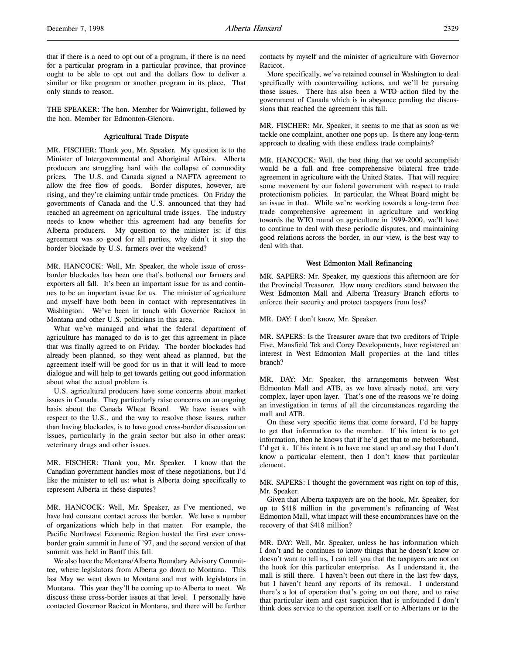that if there is a need to opt out of a program, if there is no need for a particular program in a particular province, that province ought to be able to opt out and the dollars flow to deliver a similar or like program or another program in its place. That only stands to reason.

THE SPEAKER: The hon. Member for Wainwright, followed by the hon. Member for Edmonton-Glenora.

## Agricultural Trade Dispute

MR. FISCHER: Thank you, Mr. Speaker. My question is to the Minister of Intergovernmental and Aboriginal Affairs. Alberta producers are struggling hard with the collapse of commodity prices. The U.S. and Canada signed a NAFTA agreement to allow the free flow of goods. Border disputes, however, are rising, and they're claiming unfair trade practices. On Friday the governments of Canada and the U.S. announced that they had reached an agreement on agricultural trade issues. The industry needs to know whether this agreement had any benefits for Alberta producers. My question to the minister is: if this agreement was so good for all parties, why didn't it stop the border blockade by U.S. farmers over the weekend?

MR. HANCOCK: Well, Mr. Speaker, the whole issue of crossborder blockades has been one that's bothered our farmers and exporters all fall. It's been an important issue for us and continues to be an important issue for us. The minister of agriculture and myself have both been in contact with representatives in Washington. We've been in touch with Governor Racicot in Montana and other U.S. politicians in this area.

What we've managed and what the federal department of agriculture has managed to do is to get this agreement in place that was finally agreed to on Friday. The border blockades had already been planned, so they went ahead as planned, but the agreement itself will be good for us in that it will lead to more dialogue and will help to get towards getting out good information about what the actual problem is.

U.S. agricultural producers have some concerns about market issues in Canada. They particularly raise concerns on an ongoing basis about the Canada Wheat Board. We have issues with respect to the U.S., and the way to resolve those issues, rather than having blockades, is to have good cross-border discussion on issues, particularly in the grain sector but also in other areas: veterinary drugs and other issues.

MR. FISCHER: Thank you, Mr. Speaker. I know that the Canadian government handles most of these negotiations, but I'd like the minister to tell us: what is Alberta doing specifically to represent Alberta in these disputes?

MR. HANCOCK: Well, Mr. Speaker, as I've mentioned, we have had constant contact across the border. We have a number of organizations which help in that matter. For example, the Pacific Northwest Economic Region hosted the first ever crossborder grain summit in June of '97, and the second version of that summit was held in Banff this fall.

We also have the Montana/Alberta Boundary Advisory Committee, where legislators from Alberta go down to Montana. This last May we went down to Montana and met with legislators in Montana. This year they'll be coming up to Alberta to meet. We discuss these cross-border issues at that level. I personally have contacted Governor Racicot in Montana, and there will be further contacts by myself and the minister of agriculture with Governor Racicot.

More specifically, we've retained counsel in Washington to deal specifically with countervailing actions, and we'll be pursuing those issues. There has also been a WTO action filed by the government of Canada which is in abeyance pending the discussions that reached the agreement this fall.

MR. FISCHER: Mr. Speaker, it seems to me that as soon as we tackle one complaint, another one pops up. Is there any long-term approach to dealing with these endless trade complaints?

MR. HANCOCK: Well, the best thing that we could accomplish would be a full and free comprehensive bilateral free trade agreement in agriculture with the United States. That will require some movement by our federal government with respect to trade protectionism policies. In particular, the Wheat Board might be an issue in that. While we're working towards a long-term free trade comprehensive agreement in agriculture and working towards the WTO round on agriculture in 1999-2000, we'll have to continue to deal with these periodic disputes, and maintaining good relations across the border, in our view, is the best way to deal with that.

### West Edmonton Mall Refinancing

MR. SAPERS: Mr. Speaker, my questions this afternoon are for the Provincial Treasurer. How many creditors stand between the West Edmonton Mall and Alberta Treasury Branch efforts to enforce their security and protect taxpayers from loss?

MR. DAY: I don't know, Mr. Speaker.

MR. SAPERS: Is the Treasurer aware that two creditors of Triple Five, Mansfield Tek and Corey Developments, have registered an interest in West Edmonton Mall properties at the land titles branch?

MR. DAY: Mr. Speaker, the arrangements between West Edmonton Mall and ATB, as we have already noted, are very complex, layer upon layer. That's one of the reasons we're doing an investigation in terms of all the circumstances regarding the mall and ATB.

On these very specific items that come forward, I'd be happy to get that information to the member. If his intent is to get information, then he knows that if he'd get that to me beforehand, I'd get it. If his intent is to have me stand up and say that I don't know a particular element, then I don't know that particular element.

MR. SAPERS: I thought the government was right on top of this, Mr. Speaker.

Given that Alberta taxpayers are on the hook, Mr. Speaker, for up to \$418 million in the government's refinancing of West Edmonton Mall, what impact will these encumbrances have on the recovery of that \$418 million?

MR. DAY: Well, Mr. Speaker, unless he has information which I don't and he continues to know things that he doesn't know or doesn't want to tell us, I can tell you that the taxpayers are not on the hook for this particular enterprise. As I understand it, the mall is still there. I haven't been out there in the last few days, but I haven't heard any reports of its removal. I understand there's a lot of operation that's going on out there, and to raise that particular item and cast suspicion that is unfounded I don't think does service to the operation itself or to Albertans or to the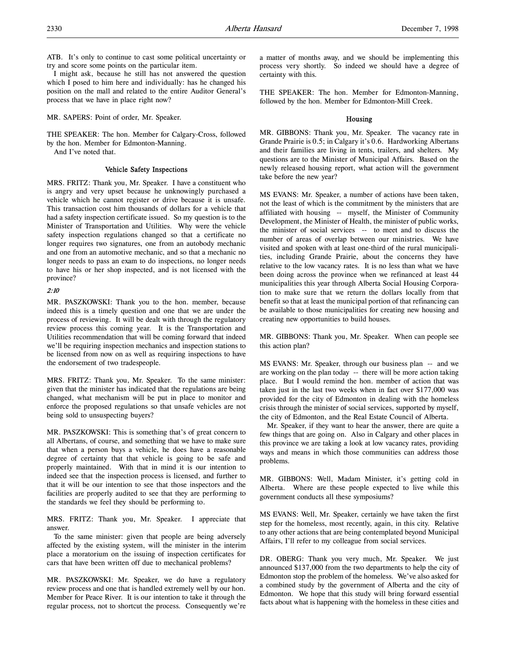ATB. It's only to continue to cast some political uncertainty or try and score some points on the particular item.

I might ask, because he still has not answered the question which I posed to him here and individually: has he changed his position on the mall and related to the entire Auditor General's process that we have in place right now?

MR. SAPERS: Point of order, Mr. Speaker.

THE SPEAKER: The hon. Member for Calgary-Cross, followed by the hon. Member for Edmonton-Manning.

And I've noted that.

#### Vehicle Safety Inspections

MRS. FRITZ: Thank you, Mr. Speaker. I have a constituent who is angry and very upset because he unknowingly purchased a vehicle which he cannot register or drive because it is unsafe. This transaction cost him thousands of dollars for a vehicle that had a safety inspection certificate issued. So my question is to the Minister of Transportation and Utilities. Why were the vehicle safety inspection regulations changed so that a certificate no longer requires two signatures, one from an autobody mechanic and one from an automotive mechanic, and so that a mechanic no longer needs to pass an exam to do inspections, no longer needs to have his or her shop inspected, and is not licensed with the province?

### 2:10

MR. PASZKOWSKI: Thank you to the hon. member, because indeed this is a timely question and one that we are under the process of reviewing. It will be dealt with through the regulatory review process this coming year. It is the Transportation and Utilities recommendation that will be coming forward that indeed we'll be requiring inspection mechanics and inspection stations to be licensed from now on as well as requiring inspections to have the endorsement of two tradespeople.

MRS. FRITZ: Thank you, Mr. Speaker. To the same minister: given that the minister has indicated that the regulations are being changed, what mechanism will be put in place to monitor and enforce the proposed regulations so that unsafe vehicles are not being sold to unsuspecting buyers?

MR. PASZKOWSKI: This is something that's of great concern to all Albertans, of course, and something that we have to make sure that when a person buys a vehicle, he does have a reasonable degree of certainty that that vehicle is going to be safe and properly maintained. With that in mind it is our intention to indeed see that the inspection process is licensed, and further to that it will be our intention to see that those inspectors and the facilities are properly audited to see that they are performing to the standards we feel they should be performing to.

MRS. FRITZ: Thank you, Mr. Speaker. I appreciate that answer.

To the same minister: given that people are being adversely affected by the existing system, will the minister in the interim place a moratorium on the issuing of inspection certificates for cars that have been written off due to mechanical problems?

MR. PASZKOWSKI: Mr. Speaker, we do have a regulatory review process and one that is handled extremely well by our hon. Member for Peace River. It is our intention to take it through the regular process, not to shortcut the process. Consequently we're

a matter of months away, and we should be implementing this process very shortly. So indeed we should have a degree of certainty with this.

THE SPEAKER: The hon. Member for Edmonton-Manning, followed by the hon. Member for Edmonton-Mill Creek.

#### Housing

MR. GIBBONS: Thank you, Mr. Speaker. The vacancy rate in Grande Prairie is 0.5; in Calgary it's 0.6. Hardworking Albertans and their families are living in tents, trailers, and shelters. My questions are to the Minister of Municipal Affairs. Based on the newly released housing report, what action will the government take before the new year?

MS EVANS: Mr. Speaker, a number of actions have been taken, not the least of which is the commitment by the ministers that are affiliated with housing -- myself, the Minister of Community Development, the Minister of Health, the minister of public works, the minister of social services -- to meet and to discuss the number of areas of overlap between our ministries. We have visited and spoken with at least one-third of the rural municipalities, including Grande Prairie, about the concerns they have relative to the low vacancy rates. It is no less than what we have been doing across the province when we refinanced at least 44 municipalities this year through Alberta Social Housing Corporation to make sure that we return the dollars locally from that benefit so that at least the municipal portion of that refinancing can be available to those municipalities for creating new housing and creating new opportunities to build houses.

MR. GIBBONS: Thank you, Mr. Speaker. When can people see this action plan?

MS EVANS: Mr. Speaker, through our business plan -- and we are working on the plan today -- there will be more action taking place. But I would remind the hon. member of action that was taken just in the last two weeks when in fact over \$177,000 was provided for the city of Edmonton in dealing with the homeless crisis through the minister of social services, supported by myself, the city of Edmonton, and the Real Estate Council of Alberta.

Mr. Speaker, if they want to hear the answer, there are quite a few things that are going on. Also in Calgary and other places in this province we are taking a look at low vacancy rates, providing ways and means in which those communities can address those problems.

MR. GIBBONS: Well, Madam Minister, it's getting cold in Alberta. Where are these people expected to live while this government conducts all these symposiums?

MS EVANS: Well, Mr. Speaker, certainly we have taken the first step for the homeless, most recently, again, in this city. Relative to any other actions that are being contemplated beyond Municipal Affairs, I'll refer to my colleague from social services.

DR. OBERG: Thank you very much, Mr. Speaker. We just announced \$137,000 from the two departments to help the city of Edmonton stop the problem of the homeless. We've also asked for a combined study by the government of Alberta and the city of Edmonton. We hope that this study will bring forward essential facts about what is happening with the homeless in these cities and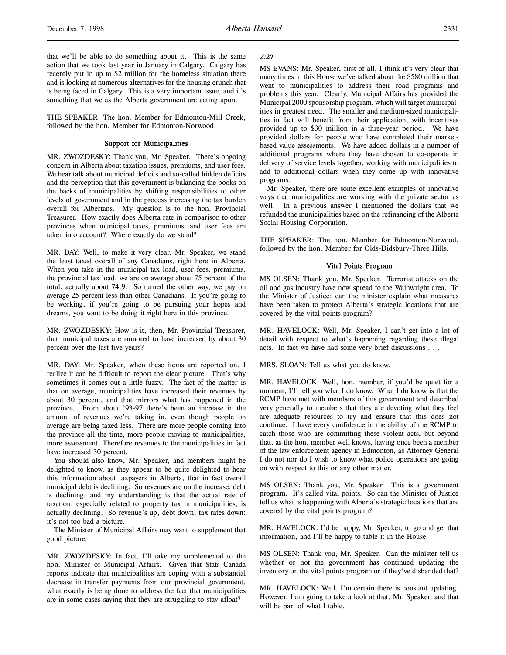THE SPEAKER: The hon. Member for Edmonton-Mill Creek, followed by the hon. Member for Edmonton-Norwood.

#### Support for Municipalities

MR. ZWOZDESKY: Thank you, Mr. Speaker. There's ongoing concern in Alberta about taxation issues, premiums, and user fees. We hear talk about municipal deficits and so-called hidden deficits and the perception that this government is balancing the books on the backs of municipalities by shifting responsibilities to other levels of government and in the process increasing the tax burden overall for Albertans. My question is to the hon. Provincial Treasurer. How exactly does Alberta rate in comparison to other provinces when municipal taxes, premiums, and user fees are taken into account? Where exactly do we stand?

MR. DAY: Well, to make it very clear, Mr. Speaker, we stand the least taxed overall of any Canadians, right here in Alberta. When you take in the municipal tax load, user fees, premiums, the provincial tax load, we are on average about 75 percent of the total, actually about 74.9. So turned the other way, we pay on average 25 percent less than other Canadians. If you're going to be working, if you're going to be pursuing your hopes and dreams, you want to be doing it right here in this province.

MR. ZWOZDESKY: How is it, then, Mr. Provincial Treasurer, that municipal taxes are rumored to have increased by about 30 percent over the last five years?

MR. DAY: Mr. Speaker, when these items are reported on, I realize it can be difficult to report the clear picture. That's why sometimes it comes out a little fuzzy. The fact of the matter is that on average, municipalities have increased their revenues by about 30 percent, and that mirrors what has happened in the province. From about '93-97 there's been an increase in the amount of revenues we're taking in, even though people on average are being taxed less. There are more people coming into the province all the time, more people moving to municipalities, more assessment. Therefore revenues to the municipalities in fact have increased 30 percent.

You should also know, Mr. Speaker, and members might be delighted to know, as they appear to be quite delighted to hear this information about taxpayers in Alberta, that in fact overall municipal debt is declining. So revenues are on the increase, debt is declining, and my understanding is that the actual rate of taxation, especially related to property tax in municipalities, is actually declining. So revenue's up, debt down, tax rates down: it's not too bad a picture.

The Minister of Municipal Affairs may want to supplement that good picture.

MR. ZWOZDESKY: In fact, I'll take my supplemental to the hon. Minister of Municipal Affairs. Given that Stats Canada reports indicate that municipalities are coping with a substantial decrease in transfer payments from our provincial government, what exactly is being done to address the fact that municipalities are in some cases saying that they are struggling to stay afloat?

#### 2:20

MS EVANS: Mr. Speaker, first of all, I think it's very clear that many times in this House we've talked about the \$580 million that went to municipalities to address their road programs and problems this year. Clearly, Municipal Affairs has provided the Municipal 2000 sponsorship program, which will target municipalities in greatest need. The smaller and medium-sized municipalities in fact will benefit from their application, with incentives provided up to \$30 million in a three-year period. We have provided dollars for people who have completed their marketbased value assessments. We have added dollars in a number of additional programs where they have chosen to co-operate in delivery of service levels together, working with municipalities to add to additional dollars when they come up with innovative programs.

Mr. Speaker, there are some excellent examples of innovative ways that municipalities are working with the private sector as well. In a previous answer I mentioned the dollars that we refunded the municipalities based on the refinancing of the Alberta Social Housing Corporation.

THE SPEAKER: The hon. Member for Edmonton-Norwood, followed by the hon. Member for Olds-Didsbury-Three Hills.

#### Vital Points Program

MS OLSEN: Thank you, Mr. Speaker. Terrorist attacks on the oil and gas industry have now spread to the Wainwright area. To the Minister of Justice: can the minister explain what measures have been taken to protect Alberta's strategic locations that are covered by the vital points program?

MR. HAVELOCK: Well, Mr. Speaker, I can't get into a lot of detail with respect to what's happening regarding these illegal acts. In fact we have had some very brief discussions . . .

MRS. SLOAN: Tell us what you do know.

MR. HAVELOCK: Well, hon. member, if you'd be quiet for a moment, I'll tell you what I do know. What I do know is that the RCMP have met with members of this government and described very generally to members that they are devoting what they feel are adequate resources to try and ensure that this does not continue. I have every confidence in the ability of the RCMP to catch those who are committing these violent acts, but beyond that, as the hon. member well knows, having once been a member of the law enforcement agency in Edmonton, as Attorney General I do not nor do I wish to know what police operations are going on with respect to this or any other matter.

MS OLSEN: Thank you, Mr. Speaker. This is a government program. It's called vital points. So can the Minister of Justice tell us what is happening with Alberta's strategic locations that are covered by the vital points program?

MR. HAVELOCK: I'd be happy, Mr. Speaker, to go and get that information, and I'll be happy to table it in the House.

MS OLSEN: Thank you, Mr. Speaker. Can the minister tell us whether or not the government has continued updating the inventory on the vital points program or if they've disbanded that?

MR. HAVELOCK: Well, I'm certain there is constant updating. However, I am going to take a look at that, Mr. Speaker, and that will be part of what I table.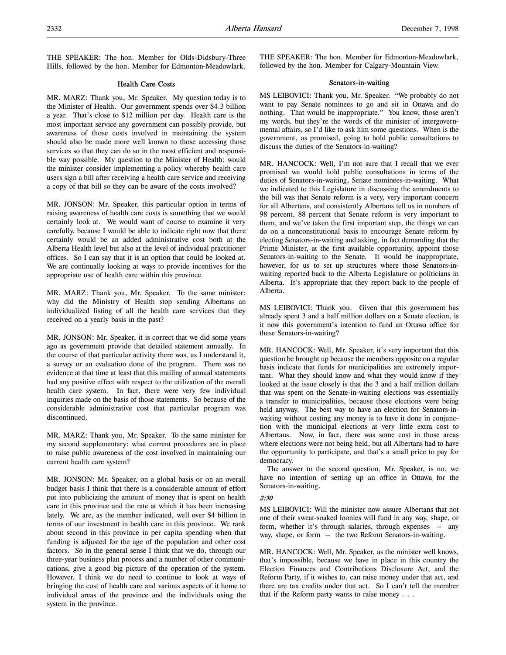THE SPEAKER: The hon. Member for Olds-Didsbury-Three Hills, followed by the hon. Member for Edmonton-Meadowlark.

### Health Care Costs

MR. MARZ: Thank you, Mr. Speaker. My question today is to the Minister of Health. Our government spends over \$4.3 billion a year. That's close to \$12 million per day. Health care is the most important service any government can possibly provide, but awareness of those costs involved in maintaining the system should also be made more well known to those accessing those services so that they can do so in the most efficient and responsible way possible. My question to the Minister of Health: would the minister consider implementing a policy whereby health care users sign a bill after receiving a health care service and receiving a copy of that bill so they can be aware of the costs involved?

MR. JONSON: Mr. Speaker, this particular option in terms of raising awareness of health care costs is something that we would certainly look at. We would want of course to examine it very carefully, because I would be able to indicate right now that there certainly would be an added administrative cost both at the Alberta Health level but also at the level of individual practitioner offices. So I can say that it is an option that could be looked at. We are continually looking at ways to provide incentives for the appropriate use of health care within this province.

MR. MARZ: Thank you, Mr. Speaker. To the same minister: why did the Ministry of Health stop sending Albertans an individualized listing of all the health care services that they received on a yearly basis in the past?

MR. JONSON: Mr. Speaker, it is correct that we did some years ago as government provide that detailed statement annually. In the course of that particular activity there was, as I understand it, a survey or an evaluation done of the program. There was no evidence at that time at least that this mailing of annual statements had any positive effect with respect to the utilization of the overall health care system. In fact, there were very few individual inquiries made on the basis of those statements. So because of the considerable administrative cost that particular program was discontinued.

MR. MARZ: Thank you, Mr. Speaker. To the same minister for my second supplementary: what current procedures are in place to raise public awareness of the cost involved in maintaining our current health care system?

MR. JONSON: Mr. Speaker, on a global basis or on an overall budget basis I think that there is a considerable amount of effort put into publicizing the amount of money that is spent on health care in this province and the rate at which it has been increasing lately. We are, as the member indicated, well over \$4 billion in terms of our investment in health care in this province. We rank about second in this province in per capita spending when that funding is adjusted for the age of the population and other cost factors. So in the general sense I think that we do, through our three-year business plan process and a number of other communications, give a good big picture of the operation of the system. However, I think we do need to continue to look at ways of bringing the cost of health care and various aspects of it home to individual areas of the province and the individuals using the system in the province.

THE SPEAKER: The hon. Member for Edmonton-Meadowlark, followed by the hon. Member for Calgary-Mountain View.

## Senators-in-waiting

MS LEIBOVICI: Thank you, Mr. Speaker. "We probably do not want to pay Senate nominees to go and sit in Ottawa and do nothing. That would be inappropriate." You know, those aren't my words, but they're the words of the minister of intergovernmental affairs, so I'd like to ask him some questions. When is the government, as promised, going to hold public consultations to discuss the duties of the Senators-in-waiting?

MR. HANCOCK: Well, I'm not sure that I recall that we ever promised we would hold public consultations in terms of the duties of Senators-in-waiting, Senate nominees-in-waiting. What we indicated to this Legislature in discussing the amendments to the bill was that Senate reform is a very, very important concern for all Albertans, and consistently Albertans tell us in numbers of 98 percent, 88 percent that Senate reform is very important to them, and we've taken the first important step, the things we can do on a nonconstitutional basis to encourage Senate reform by electing Senators-in-waiting and asking, in fact demanding that the Prime Minister, at the first available opportunity, appoint those Senators-in-waiting to the Senate. It would be inappropriate, however, for us to set up structures where those Senators-inwaiting reported back to the Alberta Legislature or politicians in Alberta. It's appropriate that they report back to the people of Alberta.

MS LEIBOVICI: Thank you. Given that this government has already spent 3 and a half million dollars on a Senate election, is it now this government's intention to fund an Ottawa office for these Senators-in-waiting?

MR. HANCOCK: Well, Mr. Speaker, it's very important that this question be brought up because the members opposite on a regular basis indicate that funds for municipalities are extremely important. What they should know and what they would know if they looked at the issue closely is that the 3 and a half million dollars that was spent on the Senate-in-waiting elections was essentially a transfer to municipalities, because those elections were being held anyway. The best way to have an election for Senators-inwaiting without costing any money is to have it done in conjunction with the municipal elections at very little extra cost to Albertans. Now, in fact, there was some cost in those areas where elections were not being held, but all Albertans had to have the opportunity to participate, and that's a small price to pay for democracy.

The answer to the second question, Mr. Speaker, is no, we have no intention of setting up an office in Ottawa for the Senators-in-waiting.

### 2:30

MS LEIBOVICI: Will the minister now assure Albertans that not one of their sweat-soaked loonies will fund in any way, shape, or form, whether it's through salaries, through expenses -- any way, shape, or form -- the two Reform Senators-in-waiting.

MR. HANCOCK: Well, Mr. Speaker, as the minister well knows, that's impossible, because we have in place in this country the Election Finances and Contributions Disclosure Act, and the Reform Party, if it wishes to, can raise money under that act, and there are tax credits under that act. So I can't tell the member that if the Reform party wants to raise money . . .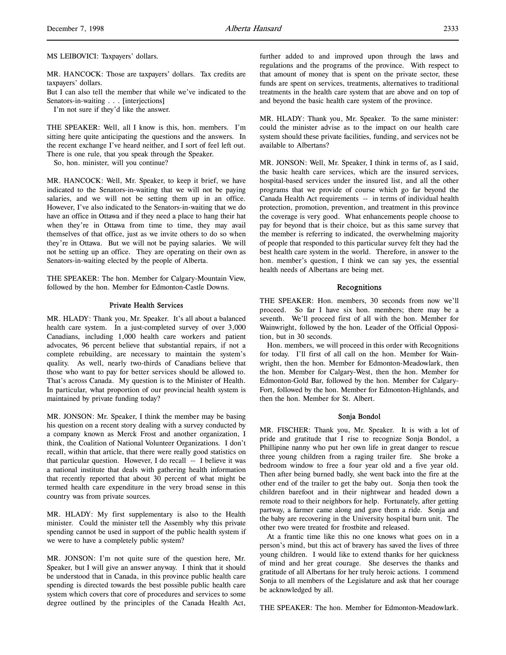MR. HANCOCK: Those are taxpayers' dollars. Tax credits are taxpayers' dollars.

But I can also tell the member that while we've indicated to the Senators-in-waiting . . . [interjections]

I'm not sure if they'd like the answer.

THE SPEAKER: Well, all I know is this, hon. members. I'm sitting here quite anticipating the questions and the answers. In the recent exchange I've heard neither, and I sort of feel left out. There is one rule, that you speak through the Speaker.

So, hon. minister, will you continue?

MR. HANCOCK: Well, Mr. Speaker, to keep it brief, we have indicated to the Senators-in-waiting that we will not be paying salaries, and we will not be setting them up in an office. However, I've also indicated to the Senators-in-waiting that we do have an office in Ottawa and if they need a place to hang their hat when they're in Ottawa from time to time, they may avail themselves of that office, just as we invite others to do so when they're in Ottawa. But we will not be paying salaries. We will not be setting up an office. They are operating on their own as Senators-in-waiting elected by the people of Alberta.

THE SPEAKER: The hon. Member for Calgary-Mountain View, followed by the hon. Member for Edmonton-Castle Downs.

## Private Health Services

MR. HLADY: Thank you, Mr. Speaker. It's all about a balanced health care system. In a just-completed survey of over 3,000 Canadians, including 1,000 health care workers and patient advocates, 96 percent believe that substantial repairs, if not a complete rebuilding, are necessary to maintain the system's quality. As well, nearly two-thirds of Canadians believe that those who want to pay for better services should be allowed to. That's across Canada. My question is to the Minister of Health. In particular, what proportion of our provincial health system is maintained by private funding today?

MR. JONSON: Mr. Speaker, I think the member may be basing his question on a recent story dealing with a survey conducted by a company known as Merck Frost and another organization, I think, the Coalition of National Volunteer Organizations. I don't recall, within that article, that there were really good statistics on that particular question. However, I do recall -- I believe it was a national institute that deals with gathering health information that recently reported that about 30 percent of what might be termed health care expenditure in the very broad sense in this country was from private sources.

MR. HLADY: My first supplementary is also to the Health minister. Could the minister tell the Assembly why this private spending cannot be used in support of the public health system if we were to have a completely public system?

MR. JONSON: I'm not quite sure of the question here, Mr. Speaker, but I will give an answer anyway. I think that it should be understood that in Canada, in this province public health care spending is directed towards the best possible public health care system which covers that core of procedures and services to some degree outlined by the principles of the Canada Health Act,

further added to and improved upon through the laws and regulations and the programs of the province. With respect to that amount of money that is spent on the private sector, these funds are spent on services, treatments, alternatives to traditional treatments in the health care system that are above and on top of and beyond the basic health care system of the province.

MR. HLADY: Thank you, Mr. Speaker. To the same minister: could the minister advise as to the impact on our health care system should these private facilities, funding, and services not be available to Albertans?

MR. JONSON: Well, Mr. Speaker, I think in terms of, as I said, the basic health care services, which are the insured services, hospital-based services under the insured list, and all the other programs that we provide of course which go far beyond the Canada Health Act requirements -- in terms of individual health protection, promotion, prevention, and treatment in this province the coverage is very good. What enhancements people choose to pay for beyond that is their choice, but as this same survey that the member is referring to indicated, the overwhelming majority of people that responded to this particular survey felt they had the best health care system in the world. Therefore, in answer to the hon. member's question, I think we can say yes, the essential health needs of Albertans are being met.

# Recognitions

THE SPEAKER: Hon. members, 30 seconds from now we'll proceed. So far I have six hon. members; there may be a seventh. We'll proceed first of all with the hon. Member for Wainwright, followed by the hon. Leader of the Official Opposition, but in 30 seconds.

Hon. members, we will proceed in this order with Recognitions for today. I'll first of all call on the hon. Member for Wainwright, then the hon. Member for Edmonton-Meadowlark, then the hon. Member for Calgary-West, then the hon. Member for Edmonton-Gold Bar, followed by the hon. Member for Calgary-Fort, followed by the hon. Member for Edmonton-Highlands, and then the hon. Member for St. Albert.

#### Sonja Bondol

MR. FISCHER: Thank you, Mr. Speaker. It is with a lot of pride and gratitude that I rise to recognize Sonja Bondol, a Phillipine nanny who put her own life in great danger to rescue three young children from a raging trailer fire. She broke a bedroom window to free a four year old and a five year old. Then after being burned badly, she went back into the fire at the other end of the trailer to get the baby out. Sonja then took the children barefoot and in their nightwear and headed down a remote road to their neighbors for help. Fortunately, after getting partway, a farmer came along and gave them a ride. Sonja and the baby are recovering in the University hospital burn unit. The other two were treated for frostbite and released.

At a frantic time like this no one knows what goes on in a person's mind, but this act of bravery has saved the lives of three young children. I would like to extend thanks for her quickness of mind and her great courage. She deserves the thanks and gratitude of all Albertans for her truly heroic actions. I commend Sonja to all members of the Legislature and ask that her courage be acknowledged by all.

THE SPEAKER: The hon. Member for Edmonton-Meadowlark.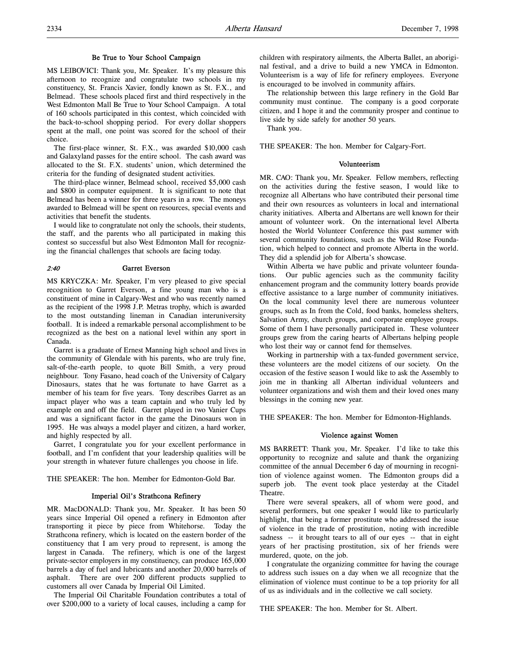### Be True to Your School Campaign

MS LEIBOVICI: Thank you, Mr. Speaker. It's my pleasure this afternoon to recognize and congratulate two schools in my constituency, St. Francis Xavier, fondly known as St. F.X., and Belmead. These schools placed first and third respectively in the West Edmonton Mall Be True to Your School Campaign. A total of 160 schools participated in this contest, which coincided with the back-to-school shopping period. For every dollar shoppers spent at the mall, one point was scored for the school of their choice.

The first-place winner, St. F.X., was awarded \$10,000 cash and Galaxyland passes for the entire school. The cash award was allocated to the St. F.X. students' union, which determined the criteria for the funding of designated student activities.

The third-place winner, Belmead school, received \$5,000 cash and \$800 in computer equipment. It is significant to note that Belmead has been a winner for three years in a row. The moneys awarded to Belmead will be spent on resources, special events and activities that benefit the students.

I would like to congratulate not only the schools, their students, the staff, and the parents who all participated in making this contest so successful but also West Edmonton Mall for recognizing the financial challenges that schools are facing today.

### 2:40 Garret Everson

MS KRYCZKA: Mr. Speaker, I'm very pleased to give special recognition to Garret Everson, a fine young man who is a constituent of mine in Calgary-West and who was recently named as the recipient of the 1998 J.P. Metras trophy, which is awarded to the most outstanding lineman in Canadian interuniversity football. It is indeed a remarkable personal accomplishment to be recognized as the best on a national level within any sport in Canada.

Garret is a graduate of Ernest Manning high school and lives in the community of Glendale with his parents, who are truly fine, salt-of-the-earth people, to quote Bill Smith, a very proud neighbour. Tony Fasano, head coach of the University of Calgary Dinosaurs, states that he was fortunate to have Garret as a member of his team for five years. Tony describes Garret as an impact player who was a team captain and who truly led by example on and off the field. Garret played in two Vanier Cups and was a significant factor in the game the Dinosaurs won in 1995. He was always a model player and citizen, a hard worker, and highly respected by all.

Garret, I congratulate you for your excellent performance in football, and I'm confident that your leadership qualities will be your strength in whatever future challenges you choose in life.

THE SPEAKER: The hon. Member for Edmonton-Gold Bar.

### Imperial Oil's Strathcona Refinery

MR. MacDONALD: Thank you, Mr. Speaker. It has been 50 years since Imperial Oil opened a refinery in Edmonton after transporting it piece by piece from Whitehorse. Today the Strathcona refinery, which is located on the eastern border of the constituency that I am very proud to represent, is among the largest in Canada. The refinery, which is one of the largest private-sector employers in my constituency, can produce 165,000 barrels a day of fuel and lubricants and another 20,000 barrels of asphalt. There are over 200 different products supplied to customers all over Canada by Imperial Oil Limited.

The Imperial Oil Charitable Foundation contributes a total of over \$200,000 to a variety of local causes, including a camp for

children with respiratory ailments, the Alberta Ballet, an aboriginal festival, and a drive to build a new YMCA in Edmonton. Volunteerism is a way of life for refinery employees. Everyone is encouraged to be involved in community affairs.

The relationship between this large refinery in the Gold Bar community must continue. The company is a good corporate citizen, and I hope it and the community prosper and continue to live side by side safely for another 50 years.

Thank you.

THE SPEAKER: The hon. Member for Calgary-Fort.

## Volunteerism

MR. CAO: Thank you, Mr. Speaker. Fellow members, reflecting on the activities during the festive season, I would like to recognize all Albertans who have contributed their personal time and their own resources as volunteers in local and international charity initiatives. Alberta and Albertans are well known for their amount of volunteer work. On the international level Alberta hosted the World Volunteer Conference this past summer with several community foundations, such as the Wild Rose Foundation, which helped to connect and promote Alberta in the world. They did a splendid job for Alberta's showcase.

Within Alberta we have public and private volunteer foundations. Our public agencies such as the community facility enhancement program and the community lottery boards provide effective assistance to a large number of community initiatives. On the local community level there are numerous volunteer groups, such as In from the Cold, food banks, homeless shelters, Salvation Army, church groups, and corporate employee groups. Some of them I have personally participated in. These volunteer groups grew from the caring hearts of Albertans helping people who lost their way or cannot fend for themselves.

Working in partnership with a tax-funded government service, these volunteers are the model citizens of our society. On the occasion of the festive season I would like to ask the Assembly to join me in thanking all Albertan individual volunteers and volunteer organizations and wish them and their loved ones many blessings in the coming new year.

THE SPEAKER: The hon. Member for Edmonton-Highlands.

### Violence against Women

MS BARRETT: Thank you, Mr. Speaker. I'd like to take this opportunity to recognize and salute and thank the organizing committee of the annual December 6 day of mourning in recognition of violence against women. The Edmonton groups did a superb job. The event took place yesterday at the Citadel Theatre.

There were several speakers, all of whom were good, and several performers, but one speaker I would like to particularly highlight, that being a former prostitute who addressed the issue of violence in the trade of prostitution, noting with incredible sadness -- it brought tears to all of our eyes -- that in eight years of her practising prostitution, six of her friends were murdered, quote, on the job.

I congratulate the organizing committee for having the courage to address such issues on a day when we all recognize that the elimination of violence must continue to be a top priority for all of us as individuals and in the collective we call society.

THE SPEAKER: The hon. Member for St. Albert.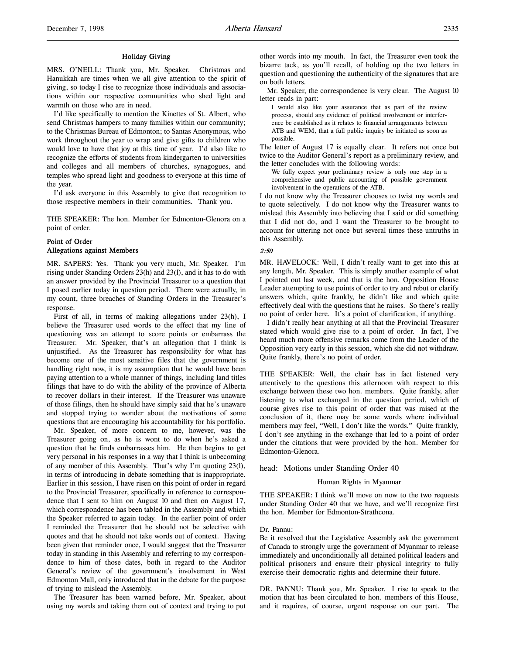#### Holiday Giving

MRS. O'NEILL: Thank you, Mr. Speaker. Christmas and Hanukkah are times when we all give attention to the spirit of giving, so today I rise to recognize those individuals and associations within our respective communities who shed light and warmth on those who are in need.

I'd like specifically to mention the Kinettes of St. Albert, who send Christmas hampers to many families within our community; to the Christmas Bureau of Edmonton; to Santas Anonymous, who work throughout the year to wrap and give gifts to children who would love to have that joy at this time of year. I'd also like to recognize the efforts of students from kindergarten to universities and colleges and all members of churches, synagogues, and temples who spread light and goodness to everyone at this time of the year.

I'd ask everyone in this Assembly to give that recognition to those respective members in their communities. Thank you.

THE SPEAKER: The hon. Member for Edmonton-Glenora on a point of order.

## Point of Order Allegations against Members

MR. SAPERS: Yes. Thank you very much, Mr. Speaker. I'm rising under Standing Orders 23(h) and 23(l), and it has to do with an answer provided by the Provincial Treasurer to a question that I posed earlier today in question period. There were actually, in my count, three breaches of Standing Orders in the Treasurer's response.

First of all, in terms of making allegations under 23(h), I believe the Treasurer used words to the effect that my line of questioning was an attempt to score points or embarrass the Treasurer. Mr. Speaker, that's an allegation that I think is unjustified. As the Treasurer has responsibility for what has become one of the most sensitive files that the government is handling right now, it is my assumption that he would have been paying attention to a whole manner of things, including land titles filings that have to do with the ability of the province of Alberta to recover dollars in their interest. If the Treasurer was unaware of those filings, then he should have simply said that he's unaware and stopped trying to wonder about the motivations of some questions that are encouraging his accountability for his portfolio.

Mr. Speaker, of more concern to me, however, was the Treasurer going on, as he is wont to do when he's asked a question that he finds embarrasses him. He then begins to get very personal in his responses in a way that I think is unbecoming of any member of this Assembly. That's why I'm quoting 23(l), in terms of introducing in debate something that is inappropriate. Earlier in this session, I have risen on this point of order in regard to the Provincial Treasurer, specifically in reference to correspondence that I sent to him on August 10 and then on August 17, which correspondence has been tabled in the Assembly and which the Speaker referred to again today. In the earlier point of order I reminded the Treasurer that he should not be selective with quotes and that he should not take words out of context. Having been given that reminder once, I would suggest that the Treasurer today in standing in this Assembly and referring to my correspondence to him of those dates, both in regard to the Auditor General's review of the government's involvement in West Edmonton Mall, only introduced that in the debate for the purpose of trying to mislead the Assembly.

The Treasurer has been warned before, Mr. Speaker, about using my words and taking them out of context and trying to put other words into my mouth. In fact, the Treasurer even took the bizarre tack, as you'll recall, of holding up the two letters in question and questioning the authenticity of the signatures that are on both letters.

Mr. Speaker, the correspondence is very clear. The August 10 letter reads in part:

I would also like your assurance that as part of the review process, should any evidence of political involvement or interference be established as it relates to financial arrangements between ATB and WEM, that a full public inquiry be initiated as soon as possible.

The letter of August 17 is equally clear. It refers not once but twice to the Auditor General's report as a preliminary review, and the letter concludes with the following words:

We fully expect your preliminary review is only one step in a comprehensive and public accounting of possible government involvement in the operations of the ATB.

I do not know why the Treasurer chooses to twist my words and to quote selectively. I do not know why the Treasurer wants to mislead this Assembly into believing that I said or did something that I did not do, and I want the Treasurer to be brought to account for uttering not once but several times these untruths in this Assembly.

### 2:50

MR. HAVELOCK: Well, I didn't really want to get into this at any length, Mr. Speaker. This is simply another example of what I pointed out last week, and that is the hon. Opposition House Leader attempting to use points of order to try and rebut or clarify answers which, quite frankly, he didn't like and which quite effectively deal with the questions that he raises. So there's really no point of order here. It's a point of clarification, if anything.

I didn't really hear anything at all that the Provincial Treasurer stated which would give rise to a point of order. In fact, I've heard much more offensive remarks come from the Leader of the Opposition very early in this session, which she did not withdraw. Quite frankly, there's no point of order.

THE SPEAKER: Well, the chair has in fact listened very attentively to the questions this afternoon with respect to this exchange between these two hon. members. Quite frankly, after listening to what exchanged in the question period, which of course gives rise to this point of order that was raised at the conclusion of it, there may be some words where individual members may feel, "Well, I don't like the words." Quite frankly, I don't see anything in the exchange that led to a point of order under the citations that were provided by the hon. Member for Edmonton-Glenora.

head: Motions under Standing Order 40

### Human Rights in Myanmar

THE SPEAKER: I think we'll move on now to the two requests under Standing Order 40 that we have, and we'll recognize first the hon. Member for Edmonton-Strathcona.

#### Dr. Pannu:

Be it resolved that the Legislative Assembly ask the government of Canada to strongly urge the government of Myanmar to release immediately and unconditionally all detained political leaders and political prisoners and ensure their physical integrity to fully exercise their democratic rights and determine their future.

DR. PANNU: Thank you, Mr. Speaker. I rise to speak to the motion that has been circulated to hon. members of this House, and it requires, of course, urgent response on our part. The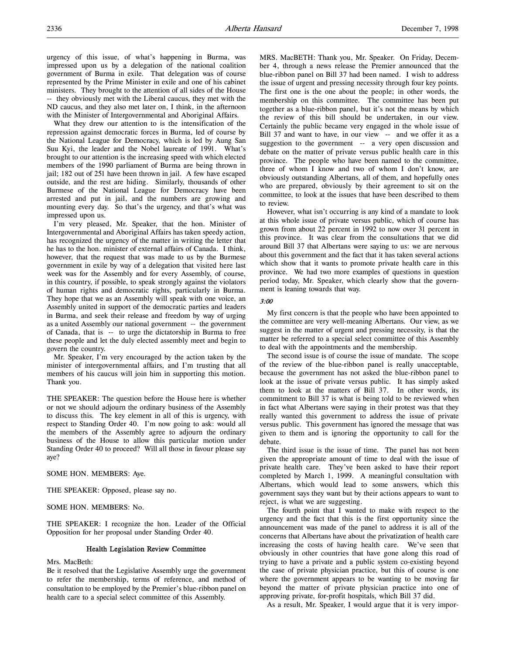urgency of this issue, of what's happening in Burma, was impressed upon us by a delegation of the national coalition government of Burma in exile. That delegation was of course represented by the Prime Minister in exile and one of his cabinet ministers. They brought to the attention of all sides of the House -- they obviously met with the Liberal caucus, they met with the ND caucus, and they also met later on, I think, in the afternoon with the Minister of Intergovernmental and Aboriginal Affairs.

What they drew our attention to is the intensification of the repression against democratic forces in Burma, led of course by the National League for Democracy, which is led by Aung San Suu Kyi, the leader and the Nobel laureate of 1991. What's brought to our attention is the increasing speed with which elected members of the 1990 parliament of Burma are being thrown in jail; 182 out of 251 have been thrown in jail. A few have escaped outside, and the rest are hiding. Similarly, thousands of other Burmese of the National League for Democracy have been arrested and put in jail, and the numbers are growing and mounting every day. So that's the urgency, and that's what was impressed upon us.

I'm very pleased, Mr. Speaker, that the hon. Minister of Intergovernmental and Aboriginal Affairs has taken speedy action, has recognized the urgency of the matter in writing the letter that he has to the hon. minister of external affairs of Canada. I think, however, that the request that was made to us by the Burmese government in exile by way of a delegation that visited here last week was for the Assembly and for every Assembly, of course, in this country, if possible, to speak strongly against the violators of human rights and democratic rights, particularly in Burma. They hope that we as an Assembly will speak with one voice, an Assembly united in support of the democratic parties and leaders in Burma, and seek their release and freedom by way of urging as a united Assembly our national government -- the government of Canada, that is -- to urge the dictatorship in Burma to free these people and let the duly elected assembly meet and begin to govern the country.

Mr. Speaker, I'm very encouraged by the action taken by the minister of intergovernmental affairs, and I'm trusting that all members of his caucus will join him in supporting this motion. Thank you.

THE SPEAKER: The question before the House here is whether or not we should adjourn the ordinary business of the Assembly to discuss this. The key element in all of this is urgency, with respect to Standing Order 40. I'm now going to ask: would all the members of the Assembly agree to adjourn the ordinary business of the House to allow this particular motion under Standing Order 40 to proceed? Will all those in favour please say aye?

SOME HON. MEMBERS: Aye.

THE SPEAKER: Opposed, please say no.

SOME HON. MEMBERS: No.

THE SPEAKER: I recognize the hon. Leader of the Official Opposition for her proposal under Standing Order 40.

#### Health Legislation Review Committee

## Mrs. MacBeth:

Be it resolved that the Legislative Assembly urge the government to refer the membership, terms of reference, and method of consultation to be employed by the Premier's blue-ribbon panel on health care to a special select committee of this Assembly.

MRS. MacBETH: Thank you, Mr. Speaker. On Friday, December 4, through a news release the Premier announced that the blue-ribbon panel on Bill 37 had been named. I wish to address the issue of urgent and pressing necessity through four key points. The first one is the one about the people; in other words, the membership on this committee. The committee has been put together as a blue-ribbon panel, but it's not the means by which the review of this bill should be undertaken, in our view. Certainly the public became very engaged in the whole issue of Bill 37 and want to have, in our view -- and we offer it as a suggestion to the government -- a very open discussion and debate on the matter of private versus public health care in this province. The people who have been named to the committee, three of whom I know and two of whom I don't know, are obviously outstanding Albertans, all of them, and hopefully ones who are prepared, obviously by their agreement to sit on the committee, to look at the issues that have been described to them to review.

However, what isn't occurring is any kind of a mandate to look at this whole issue of private versus public, which of course has grown from about 22 percent in 1992 to now over 31 percent in this province. It was clear from the consultations that we did around Bill 37 that Albertans were saying to us: we are nervous about this government and the fact that it has taken several actions which show that it wants to promote private health care in this province. We had two more examples of questions in question period today, Mr. Speaker, which clearly show that the government is leaning towards that way.

#### 3:00

My first concern is that the people who have been appointed to the committee are very well-meaning Albertans. Our view, as we suggest in the matter of urgent and pressing necessity, is that the matter be referred to a special select committee of this Assembly to deal with the appointments and the membership.

The second issue is of course the issue of mandate. The scope of the review of the blue-ribbon panel is really unacceptable, because the government has not asked the blue-ribbon panel to look at the issue of private versus public. It has simply asked them to look at the matters of Bill 37. In other words, its commitment to Bill 37 is what is being told to be reviewed when in fact what Albertans were saying in their protest was that they really wanted this government to address the issue of private versus public. This government has ignored the message that was given to them and is ignoring the opportunity to call for the debate.

The third issue is the issue of time. The panel has not been given the appropriate amount of time to deal with the issue of private health care. They've been asked to have their report completed by March 1, 1999. A meaningful consultation with Albertans, which would lead to some answers, which this government says they want but by their actions appears to want to reject, is what we are suggesting.

The fourth point that I wanted to make with respect to the urgency and the fact that this is the first opportunity since the announcement was made of the panel to address it is all of the concerns that Albertans have about the privatization of health care increasing the costs of having health care. We've seen that obviously in other countries that have gone along this road of trying to have a private and a public system co-existing beyond the case of private physician practice, but this of course is one where the government appears to be wanting to be moving far beyond the matter of private physician practice into one of approving private, for-profit hospitals, which Bill 37 did.

As a result, Mr. Speaker, I would argue that it is very impor-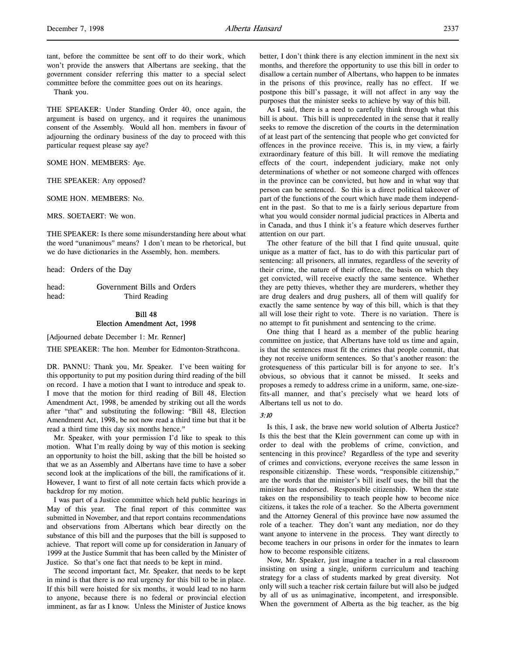tant, before the committee be sent off to do their work, which won't provide the answers that Albertans are seeking, that the government consider referring this matter to a special select committee before the committee goes out on its hearings.

Thank you.

THE SPEAKER: Under Standing Order 40, once again, the argument is based on urgency, and it requires the unanimous consent of the Assembly. Would all hon. members in favour of adjourning the ordinary business of the day to proceed with this particular request please say aye?

SOME HON. MEMBERS: Aye.

THE SPEAKER: Any opposed?

SOME HON. MEMBERS: No.

MRS. SOETAERT: We won.

THE SPEAKER: Is there some misunderstanding here about what the word "unanimous" means? I don't mean to be rhetorical, but we do have dictionaries in the Assembly, hon. members.

head: Orders of the Day

head: Government Bills and Orders head: Third Reading

## Bill 48 Election Amendment Act, 1998

[Adjourned debate December 1: Mr. Renner]

THE SPEAKER: The hon. Member for Edmonton-Strathcona.

DR. PANNU: Thank you, Mr. Speaker. I've been waiting for this opportunity to put my position during third reading of the bill on record. I have a motion that I want to introduce and speak to. I move that the motion for third reading of Bill 48, Election Amendment Act, 1998, be amended by striking out all the words after "that" and substituting the following: "Bill 48, Election Amendment Act, 1998, be not now read a third time but that it be read a third time this day six months hence."

Mr. Speaker, with your permission I'd like to speak to this motion. What I'm really doing by way of this motion is seeking an opportunity to hoist the bill, asking that the bill be hoisted so that we as an Assembly and Albertans have time to have a sober second look at the implications of the bill, the ramifications of it. However, I want to first of all note certain facts which provide a backdrop for my motion.

I was part of a Justice committee which held public hearings in May of this year. The final report of this committee was submitted in November, and that report contains recommendations and observations from Albertans which bear directly on the substance of this bill and the purposes that the bill is supposed to achieve. That report will come up for consideration in January of 1999 at the Justice Summit that has been called by the Minister of Justice. So that's one fact that needs to be kept in mind.

The second important fact, Mr. Speaker, that needs to be kept in mind is that there is no real urgency for this bill to be in place. If this bill were hoisted for six months, it would lead to no harm to anyone, because there is no federal or provincial election imminent, as far as I know. Unless the Minister of Justice knows

better, I don't think there is any election imminent in the next six months, and therefore the opportunity to use this bill in order to disallow a certain number of Albertans, who happen to be inmates in the prisons of this province, really has no effect. If we postpone this bill's passage, it will not affect in any way the purposes that the minister seeks to achieve by way of this bill.

As I said, there is a need to carefully think through what this bill is about. This bill is unprecedented in the sense that it really seeks to remove the discretion of the courts in the determination of at least part of the sentencing that people who get convicted for offences in the province receive. This is, in my view, a fairly extraordinary feature of this bill. It will remove the mediating effects of the court, independent judiciary, make not only determinations of whether or not someone charged with offences in the province can be convicted, but how and in what way that person can be sentenced. So this is a direct political takeover of part of the functions of the court which have made them independent in the past. So that to me is a fairly serious departure from what you would consider normal judicial practices in Alberta and in Canada, and thus I think it's a feature which deserves further attention on our part.

The other feature of the bill that I find quite unusual, quite unique as a matter of fact, has to do with this particular part of sentencing: all prisoners, all inmates, regardless of the severity of their crime, the nature of their offence, the basis on which they get convicted, will receive exactly the same sentence. Whether they are petty thieves, whether they are murderers, whether they are drug dealers and drug pushers, all of them will qualify for exactly the same sentence by way of this bill, which is that they all will lose their right to vote. There is no variation. There is no attempt to fit punishment and sentencing to the crime.

One thing that I heard as a member of the public hearing committee on justice, that Albertans have told us time and again, is that the sentences must fit the crimes that people commit, that they not receive uniform sentences. So that's another reason: the grotesqueness of this particular bill is for anyone to see. It's obvious, so obvious that it cannot be missed. It seeks and proposes a remedy to address crime in a uniform, same, one-sizefits-all manner, and that's precisely what we heard lots of Albertans tell us not to do.

#### 3:10

Is this, I ask, the brave new world solution of Alberta Justice? Is this the best that the Klein government can come up with in order to deal with the problems of crime, conviction, and sentencing in this province? Regardless of the type and severity of crimes and convictions, everyone receives the same lesson in responsible citizenship. These words, "responsible citizenship," are the words that the minister's bill itself uses, the bill that the minister has endorsed. Responsible citizenship. When the state takes on the responsibility to teach people how to become nice citizens, it takes the role of a teacher. So the Alberta government and the Attorney General of this province have now assumed the role of a teacher. They don't want any mediation, nor do they want anyone to intervene in the process. They want directly to become teachers in our prisons in order for the inmates to learn how to become responsible citizens.

Now, Mr. Speaker, just imagine a teacher in a real classroom insisting on using a single, uniform curriculum and teaching strategy for a class of students marked by great diversity. Not only will such a teacher risk certain failure but will also be judged by all of us as unimaginative, incompetent, and irresponsible. When the government of Alberta as the big teacher, as the big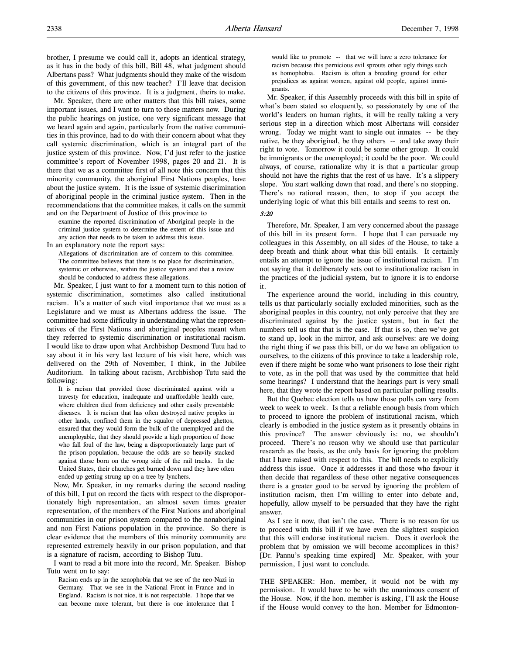Mr. Speaker, there are other matters that this bill raises, some important issues, and I want to turn to those matters now. During the public hearings on justice, one very significant message that we heard again and again, particularly from the native communities in this province, had to do with their concern about what they call systemic discrimination, which is an integral part of the justice system of this province. Now, I'd just refer to the justice committee's report of November 1998, pages 20 and 21. It is there that we as a committee first of all note this concern that this minority community, the aboriginal First Nations peoples, have about the justice system. It is the issue of systemic discrimination of aboriginal people in the criminal justice system. Then in the recommendations that the committee makes, it calls on the summit and on the Department of Justice of this province to

examine the reported discrimination of Aboriginal people in the criminal justice system to determine the extent of this issue and any action that needs to be taken to address this issue.

In an explanatory note the report says:

Allegations of discrimination are of concern to this committee. The committee believes that there is no place for discrimination, systemic or otherwise, within the justice system and that a review should be conducted to address these allegations.

Mr. Speaker, I just want to for a moment turn to this notion of systemic discrimination, sometimes also called institutional racism. It's a matter of such vital importance that we must as a Legislature and we must as Albertans address the issue. The committee had some difficulty in understanding what the representatives of the First Nations and aboriginal peoples meant when they referred to systemic discrimination or institutional racism. I would like to draw upon what Archbishop Desmond Tutu had to say about it in his very last lecture of his visit here, which was delivered on the 29th of November, I think, in the Jubilee Auditorium. In talking about racism, Archbishop Tutu said the following:

It is racism that provided those discriminated against with a travesty for education, inadequate and unaffordable health care, where children died from deficiency and other easily preventable diseases. It is racism that has often destroyed native peoples in other lands, confined them in the squalor of depressed ghettos, ensured that they would form the bulk of the unemployed and the unemployable, that they should provide a high proportion of those who fall foul of the law, being a disproportionately large part of the prison population, because the odds are so heavily stacked against those born on the wrong side of the rail tracks. In the United States, their churches get burned down and they have often ended up getting strung up on a tree by lynchers.

Now, Mr. Speaker, in my remarks during the second reading of this bill, I put on record the facts with respect to the disproportionately high representation, an almost seven times greater representation, of the members of the First Nations and aboriginal communities in our prison system compared to the nonaboriginal and non First Nations population in the province. So there is clear evidence that the members of this minority community are represented extremely heavily in our prison population, and that is a signature of racism, according to Bishop Tutu.

I want to read a bit more into the record, Mr. Speaker. Bishop Tutu went on to say:

Racism ends up in the xenophobia that we see of the neo-Nazi in Germany. That we see in the National Front in France and in England. Racism is not nice, it is not respectable. I hope that we can become more tolerant, but there is one intolerance that I

would like to promote -- that we will have a zero tolerance for racism because this pernicious evil sprouts other ugly things such as homophobia. Racism is often a breeding ground for other prejudices as against women, against old people, against immigrants.

Mr. Speaker, if this Assembly proceeds with this bill in spite of what's been stated so eloquently, so passionately by one of the world's leaders on human rights, it will be really taking a very serious step in a direction which most Albertans will consider wrong. Today we might want to single out inmates -- be they native, be they aboriginal, be they others -- and take away their right to vote. Tomorrow it could be some other group. It could be immigrants or the unemployed; it could be the poor. We could always, of course, rationalize why it is that a particular group should not have the rights that the rest of us have. It's a slippery slope. You start walking down that road, and there's no stopping. There's no rational reason, then, to stop if you accept the underlying logic of what this bill entails and seems to rest on.

## 3:20

Therefore, Mr. Speaker, I am very concerned about the passage of this bill in its present form. I hope that I can persuade my colleagues in this Assembly, on all sides of the House, to take a deep breath and think about what this bill entails. It certainly entails an attempt to ignore the issue of institutional racism. I'm not saying that it deliberately sets out to institutionalize racism in the practices of the judicial system, but to ignore it is to endorse it.

The experience around the world, including in this country, tells us that particularly socially excluded minorities, such as the aboriginal peoples in this country, not only perceive that they are discriminated against by the justice system, but in fact the numbers tell us that that is the case. If that is so, then we've got to stand up, look in the mirror, and ask ourselves: are we doing the right thing if we pass this bill, or do we have an obligation to ourselves, to the citizens of this province to take a leadership role, even if there might be some who want prisoners to lose their right to vote, as in the poll that was used by the committee that held some hearings? I understand that the hearings part is very small here, that they wrote the report based on particular polling results.

But the Quebec election tells us how those polls can vary from week to week to week. Is that a reliable enough basis from which to proceed to ignore the problem of institutional racism, which clearly is embodied in the justice system as it presently obtains in this province? The answer obviously is: no, we shouldn't proceed. There's no reason why we should use that particular research as the basis, as the only basis for ignoring the problem that I have raised with respect to this. The bill needs to explicitly address this issue. Once it addresses it and those who favour it then decide that regardless of these other negative consequences there is a greater good to be served by ignoring the problem of institution racism, then I'm willing to enter into debate and, hopefully, allow myself to be persuaded that they have the right answer.

As I see it now, that isn't the case. There is no reason for us to proceed with this bill if we have even the slightest suspicion that this will endorse institutional racism. Does it overlook the problem that by omission we will become accomplices in this? [Dr. Pannu's speaking time expired] Mr. Speaker, with your permission, I just want to conclude.

THE SPEAKER: Hon. member, it would not be with my permission. It would have to be with the unanimous consent of the House. Now, if the hon. member is asking, I'll ask the House if the House would convey to the hon. Member for Edmonton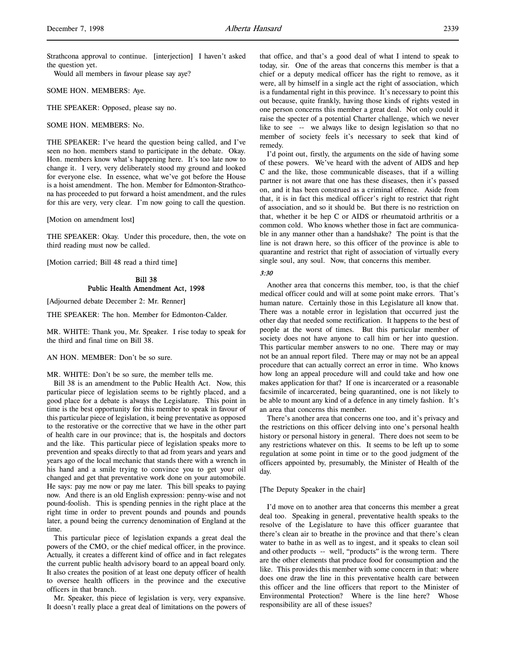Strathcona approval to continue. [interjection] I haven't asked the question yet.

Would all members in favour please say aye?

SOME HON. MEMBERS: Aye.

THE SPEAKER: Opposed, please say no.

SOME HON. MEMBERS: No.

THE SPEAKER: I've heard the question being called, and I've seen no hon. members stand to participate in the debate. Okay. Hon. members know what's happening here. It's too late now to change it. I very, very deliberately stood my ground and looked for everyone else. In essence, what we've got before the House is a hoist amendment. The hon. Member for Edmonton-Strathcona has proceeded to put forward a hoist amendment, and the rules for this are very, very clear. I'm now going to call the question.

[Motion on amendment lost]

THE SPEAKER: Okay. Under this procedure, then, the vote on third reading must now be called.

[Motion carried; Bill 48 read a third time]

### Bill 38 Public Health Amendment Act, 1998

[Adjourned debate December 2: Mr. Renner]

THE SPEAKER: The hon. Member for Edmonton-Calder.

MR. WHITE: Thank you, Mr. Speaker. I rise today to speak for the third and final time on Bill 38.

### AN HON. MEMBER: Don't be so sure.

MR. WHITE: Don't be so sure, the member tells me.

Bill 38 is an amendment to the Public Health Act. Now, this particular piece of legislation seems to be rightly placed, and a good place for a debate is always the Legislature. This point in time is the best opportunity for this member to speak in favour of this particular piece of legislation, it being preventative as opposed to the restorative or the corrective that we have in the other part of health care in our province; that is, the hospitals and doctors and the like. This particular piece of legislation speaks more to prevention and speaks directly to that ad from years and years and years ago of the local mechanic that stands there with a wrench in his hand and a smile trying to convince you to get your oil changed and get that preventative work done on your automobile. He says: pay me now or pay me later. This bill speaks to paying now. And there is an old English expression: penny-wise and not pound-foolish. This is spending pennies in the right place at the right time in order to prevent pounds and pounds and pounds later, a pound being the currency denomination of England at the time.

This particular piece of legislation expands a great deal the powers of the CMO, or the chief medical officer, in the province. Actually, it creates a different kind of office and in fact relegates the current public health advisory board to an appeal board only. It also creates the position of at least one deputy officer of health to oversee health officers in the province and the executive officers in that branch.

Mr. Speaker, this piece of legislation is very, very expansive. It doesn't really place a great deal of limitations on the powers of that office, and that's a good deal of what I intend to speak to today, sir. One of the areas that concerns this member is that a chief or a deputy medical officer has the right to remove, as it were, all by himself in a single act the right of association, which is a fundamental right in this province. It's necessary to point this out because, quite frankly, having those kinds of rights vested in one person concerns this member a great deal. Not only could it raise the specter of a potential Charter challenge, which we never like to see -- we always like to design legislation so that no member of society feels it's necessary to seek that kind of remedy.

I'd point out, firstly, the arguments on the side of having some of these powers. We've heard with the advent of AIDS and hep C and the like, those communicable diseases, that if a willing partner is not aware that one has these diseases, then it's passed on, and it has been construed as a criminal offence. Aside from that, it is in fact this medical officer's right to restrict that right of association, and so it should be. But there is no restriction on that, whether it be hep C or AIDS or rheumatoid arthritis or a common cold. Who knows whether those in fact are communicable in any manner other than a handshake? The point is that the line is not drawn here, so this officer of the province is able to quarantine and restrict that right of association of virtually every single soul, any soul. Now, that concerns this member.

# 3:30

Another area that concerns this member, too, is that the chief medical officer could and will at some point make errors. That's human nature. Certainly those in this Legislature all know that. There was a notable error in legislation that occurred just the other day that needed some rectification. It happens to the best of people at the worst of times. But this particular member of society does not have anyone to call him or her into question. This particular member answers to no one. There may or may not be an annual report filed. There may or may not be an appeal procedure that can actually correct an error in time. Who knows how long an appeal procedure will and could take and how one makes application for that? If one is incarcerated or a reasonable facsimile of incarcerated, being quarantined, one is not likely to be able to mount any kind of a defence in any timely fashion. It's an area that concerns this member.

There's another area that concerns one too, and it's privacy and the restrictions on this officer delving into one's personal health history or personal history in general. There does not seem to be any restrictions whatever on this. It seems to be left up to some regulation at some point in time or to the good judgment of the officers appointed by, presumably, the Minister of Health of the day.

### [The Deputy Speaker in the chair]

I'd move on to another area that concerns this member a great deal too. Speaking in general, preventative health speaks to the resolve of the Legislature to have this officer guarantee that there's clean air to breathe in the province and that there's clean water to bathe in as well as to ingest, and it speaks to clean soil and other products -- well, "products" is the wrong term. There are the other elements that produce food for consumption and the like. This provides this member with some concern in that: where does one draw the line in this preventative health care between this officer and the line officers that report to the Minister of Environmental Protection? Where is the line here? Whose responsibility are all of these issues?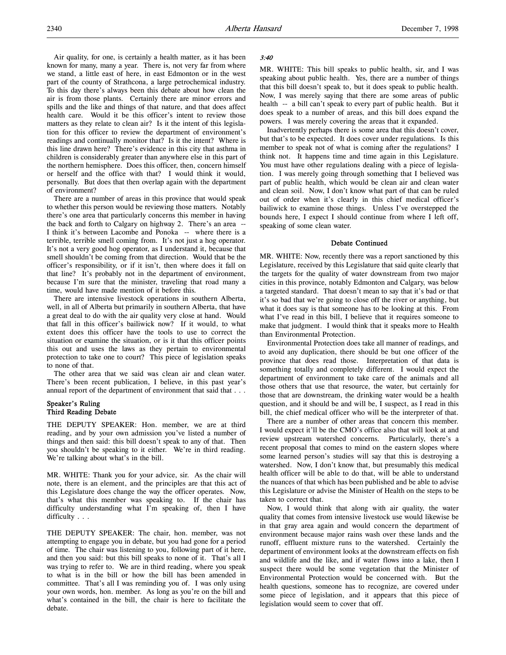Air quality, for one, is certainly a health matter, as it has been known for many, many a year. There is, not very far from where we stand, a little east of here, in east Edmonton or in the west part of the county of Strathcona, a large petrochemical industry. To this day there's always been this debate about how clean the air is from those plants. Certainly there are minor errors and spills and the like and things of that nature, and that does affect health care. Would it be this officer's intent to review those matters as they relate to clean air? Is it the intent of this legislation for this officer to review the department of environment's readings and continually monitor that? Is it the intent? Where is this line drawn here? There's evidence in this city that asthma in children is considerably greater than anywhere else in this part of the northern hemisphere. Does this officer, then, concern himself or herself and the office with that? I would think it would, personally. But does that then overlap again with the department of environment?

There are a number of areas in this province that would speak to whether this person would be reviewing those matters. Notably there's one area that particularly concerns this member in having the back and forth to Calgary on highway 2. There's an area -- I think it's between Lacombe and Ponoka -- where there is a terrible, terrible smell coming from. It's not just a hog operator. It's not a very good hog operator, as I understand it, because that smell shouldn't be coming from that direction. Would that be the officer's responsibility, or if it isn't, then where does it fall on that line? It's probably not in the department of environment, because I'm sure that the minister, traveling that road many a time, would have made mention of it before this.

There are intensive livestock operations in southern Alberta, well, in all of Alberta but primarily in southern Alberta, that have a great deal to do with the air quality very close at hand. Would that fall in this officer's bailiwick now? If it would, to what extent does this officer have the tools to use to correct the situation or examine the situation, or is it that this officer points this out and uses the laws as they pertain to environmental protection to take one to court? This piece of legislation speaks to none of that.

The other area that we said was clean air and clean water. There's been recent publication, I believe, in this past year's annual report of the department of environment that said that . . .

## Speaker's Ruling Third Reading Debate

THE DEPUTY SPEAKER: Hon. member, we are at third reading, and by your own admission you've listed a number of things and then said: this bill doesn't speak to any of that. Then you shouldn't be speaking to it either. We're in third reading. We're talking about what's in the bill.

MR. WHITE: Thank you for your advice, sir. As the chair will note, there is an element, and the principles are that this act of this Legislature does change the way the officer operates. Now, that's what this member was speaking to. If the chair has difficulty understanding what I'm speaking of, then I have difficulty . . .

THE DEPUTY SPEAKER: The chair, hon. member, was not attempting to engage you in debate, but you had gone for a period of time. The chair was listening to you, following part of it here, and then you said: but this bill speaks to none of it. That's all I was trying to refer to. We are in third reading, where you speak to what is in the bill or how the bill has been amended in committee. That's all I was reminding you of. I was only using your own words, hon. member. As long as you're on the bill and what's contained in the bill, the chair is here to facilitate the debate.

### 3:40

MR. WHITE: This bill speaks to public health, sir, and I was speaking about public health. Yes, there are a number of things that this bill doesn't speak to, but it does speak to public health. Now, I was merely saying that there are some areas of public health -- a bill can't speak to every part of public health. But it does speak to a number of areas, and this bill does expand the powers. I was merely covering the areas that it expanded.

Inadvertently perhaps there is some area that this doesn't cover, but that's to be expected. It does cover under regulations. Is this member to speak not of what is coming after the regulations? I think not. It happens time and time again in this Legislature. You must have other regulations dealing with a piece of legislation. I was merely going through something that I believed was part of public health, which would be clean air and clean water and clean soil. Now, I don't know what part of that can be ruled out of order when it's clearly in this chief medical officer's bailiwick to examine those things. Unless I've overstepped the bounds here, I expect I should continue from where I left off, speaking of some clean water.

#### Debate Continued

MR. WHITE: Now, recently there was a report sanctioned by this Legislature, received by this Legislature that said quite clearly that the targets for the quality of water downstream from two major cities in this province, notably Edmonton and Calgary, was below a targeted standard. That doesn't mean to say that it's bad or that it's so bad that we're going to close off the river or anything, but what it does say is that someone has to be looking at this. From what I've read in this bill, I believe that it requires someone to make that judgment. I would think that it speaks more to Health than Environmental Protection.

Environmental Protection does take all manner of readings, and to avoid any duplication, there should be but one officer of the province that does read those. Interpretation of that data is something totally and completely different. I would expect the department of environment to take care of the animals and all those others that use that resource, the water, but certainly for those that are downstream, the drinking water would be a health question, and it should be and will be, I suspect, as I read in this bill, the chief medical officer who will be the interpreter of that.

There are a number of other areas that concern this member. I would expect it'll be the CMO's office also that will look at and review upstream watershed concerns. Particularly, there's a recent proposal that comes to mind on the eastern slopes where some learned person's studies will say that this is destroying a watershed. Now, I don't know that, but presumably this medical health officer will be able to do that, will be able to understand the nuances of that which has been published and be able to advise this Legislature or advise the Minister of Health on the steps to be taken to correct that.

Now, I would think that along with air quality, the water quality that comes from intensive livestock use would likewise be in that gray area again and would concern the department of environment because major rains wash over these lands and the runoff, effluent mixture runs to the watershed. Certainly the department of environment looks at the downstream effects on fish and wildlife and the like, and if water flows into a lake, then I suspect there would be some vegetation that the Minister of Environmental Protection would be concerned with. But the health questions, someone has to recognize, are covered under some piece of legislation, and it appears that this piece of legislation would seem to cover that off.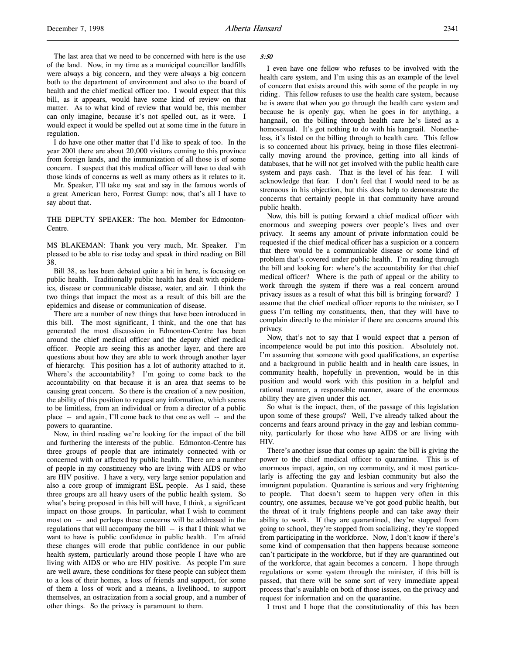The last area that we need to be concerned with here is the use of the land. Now, in my time as a municipal councillor landfills were always a big concern, and they were always a big concern both to the department of environment and also to the board of health and the chief medical officer too. I would expect that this bill, as it appears, would have some kind of review on that matter. As to what kind of review that would be, this member can only imagine, because it's not spelled out, as it were. I would expect it would be spelled out at some time in the future in regulation.

I do have one other matter that I'd like to speak of too. In the year 2001 there are about 20,000 visitors coming to this province from foreign lands, and the immunization of all those is of some concern. I suspect that this medical officer will have to deal with those kinds of concerns as well as many others as it relates to it.

Mr. Speaker, I'll take my seat and say in the famous words of a great American hero, Forrest Gump: now, that's all I have to say about that.

THE DEPUTY SPEAKER: The hon. Member for Edmonton-Centre.

MS BLAKEMAN: Thank you very much, Mr. Speaker. I'm pleased to be able to rise today and speak in third reading on Bill 38.

Bill 38, as has been debated quite a bit in here, is focusing on public health. Traditionally public health has dealt with epidemics, disease or communicable disease, water, and air. I think the two things that impact the most as a result of this bill are the epidemics and disease or communication of disease.

There are a number of new things that have been introduced in this bill. The most significant, I think, and the one that has generated the most discussion in Edmonton-Centre has been around the chief medical officer and the deputy chief medical officer. People are seeing this as another layer, and there are questions about how they are able to work through another layer of hierarchy. This position has a lot of authority attached to it. Where's the accountability? I'm going to come back to the accountability on that because it is an area that seems to be causing great concern. So there is the creation of a new position, the ability of this position to request any information, which seems to be limitless, from an individual or from a director of a public place -- and again, I'll come back to that one as well -- and the powers to quarantine.

Now, in third reading we're looking for the impact of the bill and furthering the interests of the public. Edmonton-Centre has three groups of people that are intimately connected with or concerned with or affected by public health. There are a number of people in my constituency who are living with AIDS or who are HIV positive. I have a very, very large senior population and also a core group of immigrant ESL people. As I said, these three groups are all heavy users of the public health system. So what's being proposed in this bill will have, I think, a significant impact on those groups. In particular, what I wish to comment most on -- and perhaps these concerns will be addressed in the regulations that will accompany the bill -- is that I think what we want to have is public confidence in public health. I'm afraid these changes will erode that public confidence in our public health system, particularly around those people I have who are living with AIDS or who are HIV positive. As people I'm sure are well aware, these conditions for these people can subject them to a loss of their homes, a loss of friends and support, for some of them a loss of work and a means, a livelihood, to support themselves, an ostracization from a social group, and a number of other things. So the privacy is paramount to them.

#### 3:50

I even have one fellow who refuses to be involved with the health care system, and I'm using this as an example of the level of concern that exists around this with some of the people in my riding. This fellow refuses to use the health care system, because he is aware that when you go through the health care system and because he is openly gay, when he goes in for anything, a hangnail, on the billing through health care he's listed as a homosexual. It's got nothing to do with his hangnail. Nonetheless, it's listed on the billing through to health care. This fellow is so concerned about his privacy, being in those files electronically moving around the province, getting into all kinds of databases, that he will not get involved with the public health care system and pays cash. That is the level of his fear. I will acknowledge that fear. I don't feel that I would need to be as strenuous in his objection, but this does help to demonstrate the concerns that certainly people in that community have around public health.

Now, this bill is putting forward a chief medical officer with enormous and sweeping powers over people's lives and over privacy. It seems any amount of private information could be requested if the chief medical officer has a suspicion or a concern that there would be a communicable disease or some kind of problem that's covered under public health. I'm reading through the bill and looking for: where's the accountability for that chief medical officer? Where is the path of appeal or the ability to work through the system if there was a real concern around privacy issues as a result of what this bill is bringing forward? I assume that the chief medical officer reports to the minister, so I guess I'm telling my constituents, then, that they will have to complain directly to the minister if there are concerns around this privacy.

Now, that's not to say that I would expect that a person of incompetence would be put into this position. Absolutely not. I'm assuming that someone with good qualifications, an expertise and a background in public health and in health care issues, in community health, hopefully in prevention, would be in this position and would work with this position in a helpful and rational manner, a responsible manner, aware of the enormous ability they are given under this act.

So what is the impact, then, of the passage of this legislation upon some of these groups? Well, I've already talked about the concerns and fears around privacy in the gay and lesbian community, particularly for those who have AIDS or are living with HIV.

There's another issue that comes up again: the bill is giving the power to the chief medical officer to quarantine. This is of enormous impact, again, on my community, and it most particularly is affecting the gay and lesbian community but also the immigrant population. Quarantine is serious and very frightening to people. That doesn't seem to happen very often in this country, one assumes, because we've got good public health, but the threat of it truly frightens people and can take away their ability to work. If they are quarantined, they're stopped from going to school, they're stopped from socializing, they're stopped from participating in the workforce. Now, I don't know if there's some kind of compensation that then happens because someone can't participate in the workforce, but if they are quarantined out of the workforce, that again becomes a concern. I hope through regulations or some system through the minister, if this bill is passed, that there will be some sort of very immediate appeal process that's available on both of those issues, on the privacy and request for information and on the quarantine.

I trust and I hope that the constitutionality of this has been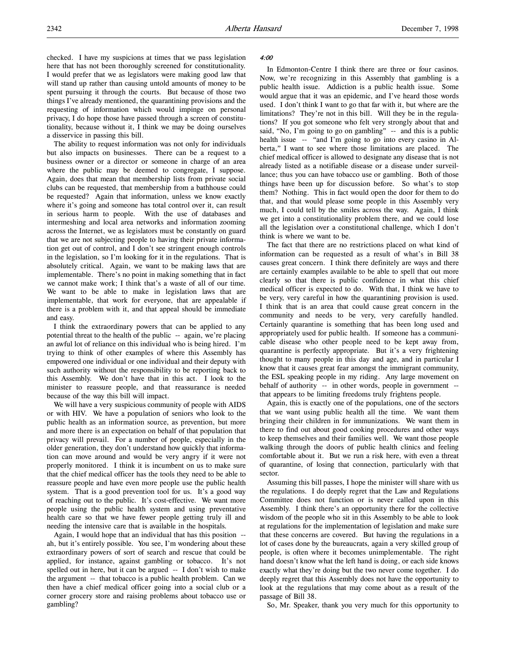checked. I have my suspicions at times that we pass legislation here that has not been thoroughly screened for constitutionality. I would prefer that we as legislators were making good law that will stand up rather than causing untold amounts of money to be spent pursuing it through the courts. But because of those two things I've already mentioned, the quarantining provisions and the requesting of information which would impinge on personal privacy, I do hope those have passed through a screen of constitutionality, because without it, I think we may be doing ourselves a disservice in passing this bill.

The ability to request information was not only for individuals but also impacts on businesses. There can be a request to a business owner or a director or someone in charge of an area where the public may be deemed to congregate, I suppose. Again, does that mean that membership lists from private social clubs can be requested, that membership from a bathhouse could be requested? Again that information, unless we know exactly where it's going and someone has total control over it, can result in serious harm to people. With the use of databases and intermeshing and local area networks and information zooming across the Internet, we as legislators must be constantly on guard that we are not subjecting people to having their private information get out of control, and I don't see stringent enough controls in the legislation, so I'm looking for it in the regulations. That is absolutely critical. Again, we want to be making laws that are implementable. There's no point in making something that in fact we cannot make work; I think that's a waste of all of our time. We want to be able to make in legislation laws that are implementable, that work for everyone, that are appealable if there is a problem with it, and that appeal should be immediate and easy.

I think the extraordinary powers that can be applied to any potential threat to the health of the public -- again, we're placing an awful lot of reliance on this individual who is being hired. I'm trying to think of other examples of where this Assembly has empowered one individual or one individual and their deputy with such authority without the responsibility to be reporting back to this Assembly. We don't have that in this act. I look to the minister to reassure people, and that reassurance is needed because of the way this bill will impact.

We will have a very suspicious community of people with AIDS or with HIV. We have a population of seniors who look to the public health as an information source, as prevention, but more and more there is an expectation on behalf of that population that privacy will prevail. For a number of people, especially in the older generation, they don't understand how quickly that information can move around and would be very angry if it were not properly monitored. I think it is incumbent on us to make sure that the chief medical officer has the tools they need to be able to reassure people and have even more people use the public health system. That is a good prevention tool for us. It's a good way of reaching out to the public. It's cost-effective. We want more people using the public health system and using preventative health care so that we have fewer people getting truly ill and needing the intensive care that is available in the hospitals.

Again, I would hope that an individual that has this position - ah, but it's entirely possible. You see, I'm wondering about these extraordinary powers of sort of search and rescue that could be applied, for instance, against gambling or tobacco. It's not spelled out in here, but it can be argued -- I don't wish to make the argument -- that tobacco is a public health problem. Can we then have a chief medical officer going into a social club or a corner grocery store and raising problems about tobacco use or gambling?

#### 4:00

In Edmonton-Centre I think there are three or four casinos. Now, we're recognizing in this Assembly that gambling is a public health issue. Addiction is a public health issue. Some would argue that it was an epidemic, and I've heard those words used. I don't think I want to go that far with it, but where are the limitations? They're not in this bill. Will they be in the regulations? If you got someone who felt very strongly about that and said, "No, I'm going to go on gambling" -- and this is a public health issue -- "and I'm going to go into every casino in Alberta," I want to see where those limitations are placed. The chief medical officer is allowed to designate any disease that is not already listed as a notifiable disease or a disease under surveillance; thus you can have tobacco use or gambling. Both of those things have been up for discussion before. So what's to stop them? Nothing. This in fact would open the door for them to do that, and that would please some people in this Assembly very much, I could tell by the smiles across the way. Again, I think we get into a constitutionality problem there, and we could lose all the legislation over a constitutional challenge, which I don't think is where we want to be.

The fact that there are no restrictions placed on what kind of information can be requested as a result of what's in Bill 38 causes great concern. I think there definitely are ways and there are certainly examples available to be able to spell that out more clearly so that there is public confidence in what this chief medical officer is expected to do. With that, I think we have to be very, very careful in how the quarantining provision is used. I think that is an area that could cause great concern in the community and needs to be very, very carefully handled. Certainly quarantine is something that has been long used and appropriately used for public health. If someone has a communicable disease who other people need to be kept away from, quarantine is perfectly appropriate. But it's a very frightening thought to many people in this day and age, and in particular I know that it causes great fear amongst the immigrant community, the ESL speaking people in my riding. Any large movement on behalf of authority -- in other words, people in government -that appears to be limiting freedoms truly frightens people.

Again, this is exactly one of the populations, one of the sectors that we want using public health all the time. We want them bringing their children in for immunizations. We want them in there to find out about good cooking procedures and other ways to keep themselves and their families well. We want those people walking through the doors of public health clinics and feeling comfortable about it. But we run a risk here, with even a threat of quarantine, of losing that connection, particularly with that sector.

Assuming this bill passes, I hope the minister will share with us the regulations. I do deeply regret that the Law and Regulations Committee does not function or is never called upon in this Assembly. I think there's an opportunity there for the collective wisdom of the people who sit in this Assembly to be able to look at regulations for the implementation of legislation and make sure that these concerns are covered. But having the regulations in a lot of cases done by the bureaucrats, again a very skilled group of people, is often where it becomes unimplementable. The right hand doesn't know what the left hand is doing, or each side knows exactly what they're doing but the two never come together. I do deeply regret that this Assembly does not have the opportunity to look at the regulations that may come about as a result of the passage of Bill 38.

So, Mr. Speaker, thank you very much for this opportunity to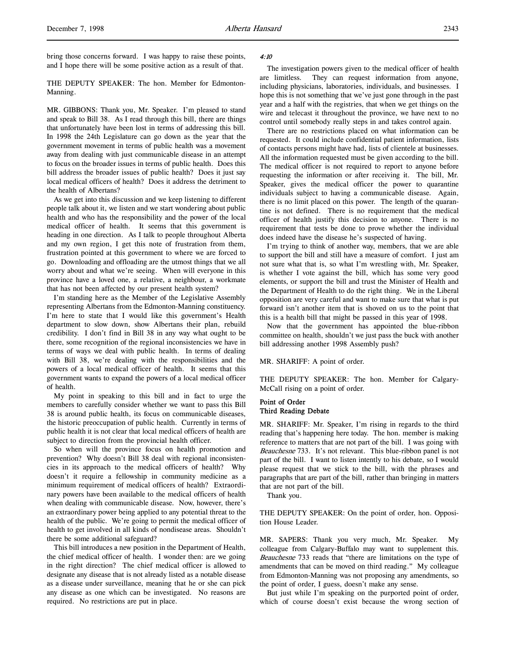bring those concerns forward. I was happy to raise these points, and I hope there will be some positive action as a result of that.

THE DEPUTY SPEAKER: The hon. Member for Edmonton-Manning.

MR. GIBBONS: Thank you, Mr. Speaker. I'm pleased to stand and speak to Bill 38. As I read through this bill, there are things that unfortunately have been lost in terms of addressing this bill. In 1998 the 24th Legislature can go down as the year that the government movement in terms of public health was a movement away from dealing with just communicable disease in an attempt to focus on the broader issues in terms of public health. Does this bill address the broader issues of public health? Does it just say local medical officers of health? Does it address the detriment to the health of Albertans?

As we get into this discussion and we keep listening to different people talk about it, we listen and we start wondering about public health and who has the responsibility and the power of the local medical officer of health. It seems that this government is heading in one direction. As I talk to people throughout Alberta and my own region, I get this note of frustration from them, frustration pointed at this government to where we are forced to go. Downloading and offloading are the utmost things that we all worry about and what we're seeing. When will everyone in this province have a loved one, a relative, a neighbour, a workmate that has not been affected by our present health system?

I'm standing here as the Member of the Legislative Assembly representing Albertans from the Edmonton-Manning constituency. I'm here to state that I would like this government's Health department to slow down, show Albertans their plan, rebuild credibility. I don't find in Bill 38 in any way what ought to be there, some recognition of the regional inconsistencies we have in terms of ways we deal with public health. In terms of dealing with Bill 38, we're dealing with the responsibilities and the powers of a local medical officer of health. It seems that this government wants to expand the powers of a local medical officer of health.

My point in speaking to this bill and in fact to urge the members to carefully consider whether we want to pass this Bill 38 is around public health, its focus on communicable diseases, the historic preoccupation of public health. Currently in terms of public health it is not clear that local medical officers of health are subject to direction from the provincial health officer.

So when will the province focus on health promotion and prevention? Why doesn't Bill 38 deal with regional inconsistencies in its approach to the medical officers of health? Why doesn't it require a fellowship in community medicine as a minimum requirement of medical officers of health? Extraordinary powers have been available to the medical officers of health when dealing with communicable disease. Now, however, there's an extraordinary power being applied to any potential threat to the health of the public. We're going to permit the medical officer of health to get involved in all kinds of nondisease areas. Shouldn't there be some additional safeguard?

This bill introduces a new position in the Department of Health, the chief medical officer of health. I wonder then: are we going in the right direction? The chief medical officer is allowed to designate any disease that is not already listed as a notable disease as a disease under surveillance, meaning that he or she can pick any disease as one which can be investigated. No reasons are required. No restrictions are put in place.

#### 4:10

The investigation powers given to the medical officer of health are limitless. They can request information from anyone, including physicians, laboratories, individuals, and businesses. I hope this is not something that we've just gone through in the past year and a half with the registries, that when we get things on the wire and telecast it throughout the province, we have next to no control until somebody really steps in and takes control again.

There are no restrictions placed on what information can be requested. It could include confidential patient information, lists of contacts persons might have had, lists of clientele at businesses. All the information requested must be given according to the bill. The medical officer is not required to report to anyone before requesting the information or after receiving it. The bill, Mr. Speaker, gives the medical officer the power to quarantine individuals subject to having a communicable disease. Again, there is no limit placed on this power. The length of the quarantine is not defined. There is no requirement that the medical officer of health justify this decision to anyone. There is no requirement that tests be done to prove whether the individual does indeed have the disease he's suspected of having.

I'm trying to think of another way, members, that we are able to support the bill and still have a measure of comfort. I just am not sure what that is, so what I'm wrestling with, Mr. Speaker, is whether I vote against the bill, which has some very good elements, or support the bill and trust the Minister of Health and the Department of Health to do the right thing. We in the Liberal opposition are very careful and want to make sure that what is put forward isn't another item that is shoved on us to the point that this is a health bill that might be passed in this year of 1998.

Now that the government has appointed the blue-ribbon committee on health, shouldn't we just pass the buck with another bill addressing another 1998 Assembly push?

MR. SHARIFF: A point of order.

THE DEPUTY SPEAKER: The hon. Member for Calgary-McCall rising on a point of order.

## Point of Order Third Reading Debate

MR. SHARIFF: Mr. Speaker, I'm rising in regards to the third reading that's happening here today. The hon. member is making reference to matters that are not part of the bill. I was going with Beauchesne 733. It's not relevant. This blue-ribbon panel is not part of the bill. I want to listen intently to his debate, so I would please request that we stick to the bill, with the phrases and paragraphs that are part of the bill, rather than bringing in matters that are not part of the bill.

Thank you.

THE DEPUTY SPEAKER: On the point of order, hon. Opposition House Leader.

MR. SAPERS: Thank you very much, Mr. Speaker. My colleague from Calgary-Buffalo may want to supplement this. Beauchesne 733 reads that "there are limitations on the type of amendments that can be moved on third reading." My colleague from Edmonton-Manning was not proposing any amendments, so the point of order, I guess, doesn't make any sense.

But just while I'm speaking on the purported point of order, which of course doesn't exist because the wrong section of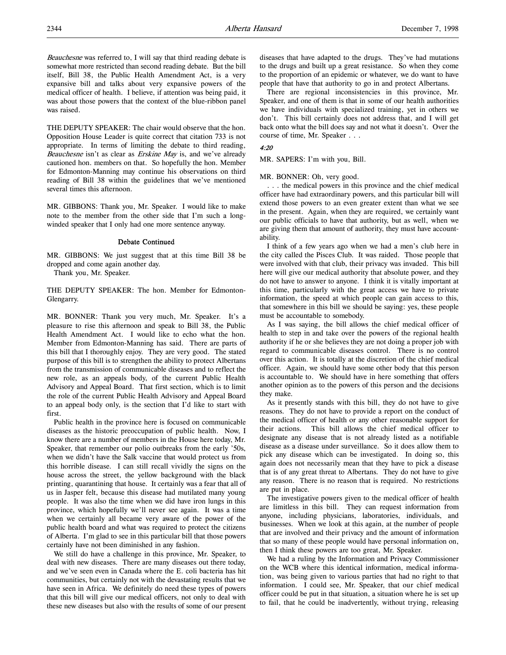Beauchesne was referred to, I will say that third reading debate is somewhat more restricted than second reading debate. But the bill itself, Bill 38, the Public Health Amendment Act, is a very expansive bill and talks about very expansive powers of the medical officer of health. I believe, if attention was being paid, it was about those powers that the context of the blue-ribbon panel was raised.

THE DEPUTY SPEAKER: The chair would observe that the hon. Opposition House Leader is quite correct that citation 733 is not appropriate. In terms of limiting the debate to third reading, Beauchesne isn't as clear as Erskine May is, and we've already cautioned hon. members on that. So hopefully the hon. Member for Edmonton-Manning may continue his observations on third reading of Bill 38 within the guidelines that we've mentioned several times this afternoon.

MR. GIBBONS: Thank you, Mr. Speaker. I would like to make note to the member from the other side that I'm such a longwinded speaker that I only had one more sentence anyway.

#### Debate Continued

MR. GIBBONS: We just suggest that at this time Bill 38 be dropped and come again another day.

Thank you, Mr. Speaker.

THE DEPUTY SPEAKER: The hon. Member for Edmonton-Glengarry.

MR. BONNER: Thank you very much, Mr. Speaker. It's a pleasure to rise this afternoon and speak to Bill 38, the Public Health Amendment Act. I would like to echo what the hon. Member from Edmonton-Manning has said. There are parts of this bill that I thoroughly enjoy. They are very good. The stated purpose of this bill is to strengthen the ability to protect Albertans from the transmission of communicable diseases and to reflect the new role, as an appeals body, of the current Public Health Advisory and Appeal Board. That first section, which is to limit the role of the current Public Health Advisory and Appeal Board to an appeal body only, is the section that I'd like to start with first.

Public health in the province here is focused on communicable diseases as the historic preoccupation of public health. Now, I know there are a number of members in the House here today, Mr. Speaker, that remember our polio outbreaks from the early '50s, when we didn't have the Salk vaccine that would protect us from this horrible disease. I can still recall vividly the signs on the house across the street, the yellow background with the black printing, quarantining that house. It certainly was a fear that all of us in Jasper felt, because this disease had mutilated many young people. It was also the time when we did have iron lungs in this province, which hopefully we'll never see again. It was a time when we certainly all became very aware of the power of the public health board and what was required to protect the citizens of Alberta. I'm glad to see in this particular bill that those powers certainly have not been diminished in any fashion.

We still do have a challenge in this province, Mr. Speaker, to deal with new diseases. There are many diseases out there today, and we've seen even in Canada where the E. coli bacteria has hit communities, but certainly not with the devastating results that we have seen in Africa. We definitely do need these types of powers that this bill will give our medical officers, not only to deal with these new diseases but also with the results of some of our present

diseases that have adapted to the drugs. They've had mutations to the drugs and built up a great resistance. So when they come to the proportion of an epidemic or whatever, we do want to have people that have that authority to go in and protect Albertans.

There are regional inconsistencies in this province, Mr. Speaker, and one of them is that in some of our health authorities we have individuals with specialized training, yet in others we don't. This bill certainly does not address that, and I will get back onto what the bill does say and not what it doesn't. Over the course of time, Mr. Speaker . . .

#### 4:20

MR. SAPERS: I'm with you, Bill.

MR. BONNER: Oh, very good.

. . . the medical powers in this province and the chief medical officer have had extraordinary powers, and this particular bill will extend those powers to an even greater extent than what we see in the present. Again, when they are required, we certainly want our public officials to have that authority, but as well, when we are giving them that amount of authority, they must have accountability.

I think of a few years ago when we had a men's club here in the city called the Pisces Club. It was raided. Those people that were involved with that club, their privacy was invaded. This bill here will give our medical authority that absolute power, and they do not have to answer to anyone. I think it is vitally important at this time, particularly with the great access we have to private information, the speed at which people can gain access to this, that somewhere in this bill we should be saying: yes, these people must be accountable to somebody.

As I was saying, the bill allows the chief medical officer of health to step in and take over the powers of the regional health authority if he or she believes they are not doing a proper job with regard to communicable diseases control. There is no control over this action. It is totally at the discretion of the chief medical officer. Again, we should have some other body that this person is accountable to. We should have in here something that offers another opinion as to the powers of this person and the decisions they make.

As it presently stands with this bill, they do not have to give reasons. They do not have to provide a report on the conduct of the medical officer of health or any other reasonable support for their actions. This bill allows the chief medical officer to designate any disease that is not already listed as a notifiable disease as a disease under surveillance. So it does allow them to pick any disease which can be investigated. In doing so, this again does not necessarily mean that they have to pick a disease that is of any great threat to Albertans. They do not have to give any reason. There is no reason that is required. No restrictions are put in place.

The investigative powers given to the medical officer of health are limitless in this bill. They can request information from anyone, including physicians, laboratories, individuals, and businesses. When we look at this again, at the number of people that are involved and their privacy and the amount of information that so many of these people would have personal information on, then I think these powers are too great, Mr. Speaker.

We had a ruling by the Information and Privacy Commissioner on the WCB where this identical information, medical information, was being given to various parties that had no right to that information. I could see, Mr. Speaker, that our chief medical officer could be put in that situation, a situation where he is set up to fail, that he could be inadvertently, without trying, releasing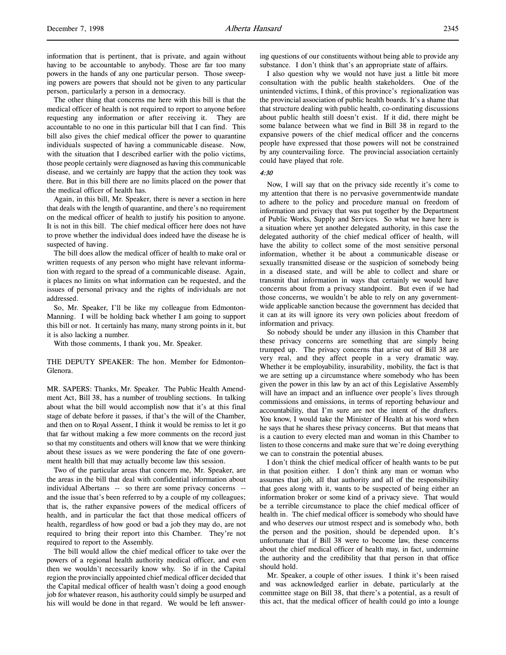information that is pertinent, that is private, and again without having to be accountable to anybody. Those are far too many powers in the hands of any one particular person. Those sweeping powers are powers that should not be given to any particular person, particularly a person in a democracy.

The other thing that concerns me here with this bill is that the medical officer of health is not required to report to anyone before requesting any information or after receiving it. They are accountable to no one in this particular bill that I can find. This bill also gives the chief medical officer the power to quarantine individuals suspected of having a communicable disease. Now, with the situation that I described earlier with the polio victims, those people certainly were diagnosed as having this communicable disease, and we certainly are happy that the action they took was there. But in this bill there are no limits placed on the power that the medical officer of health has.

Again, in this bill, Mr. Speaker, there is never a section in here that deals with the length of quarantine, and there's no requirement on the medical officer of health to justify his position to anyone. It is not in this bill. The chief medical officer here does not have to prove whether the individual does indeed have the disease he is suspected of having.

The bill does allow the medical officer of health to make oral or written requests of any person who might have relevant information with regard to the spread of a communicable disease. Again, it places no limits on what information can be requested, and the issues of personal privacy and the rights of individuals are not addressed.

So, Mr. Speaker, I'll be like my colleague from Edmonton-Manning. I will be holding back whether I am going to support this bill or not. It certainly has many, many strong points in it, but it is also lacking a number.

With those comments, I thank you, Mr. Speaker.

THE DEPUTY SPEAKER: The hon. Member for Edmonton-Glenora.

MR. SAPERS: Thanks, Mr. Speaker. The Public Health Amendment Act, Bill 38, has a number of troubling sections. In talking about what the bill would accomplish now that it's at this final stage of debate before it passes, if that's the will of the Chamber, and then on to Royal Assent, I think it would be remiss to let it go that far without making a few more comments on the record just so that my constituents and others will know that we were thinking about these issues as we were pondering the fate of one government health bill that may actually become law this session.

Two of the particular areas that concern me, Mr. Speaker, are the areas in the bill that deal with confidential information about individual Albertans -- so there are some privacy concerns - and the issue that's been referred to by a couple of my colleagues; that is, the rather expansive powers of the medical officers of health, and in particular the fact that those medical officers of health, regardless of how good or bad a job they may do, are not required to bring their report into this Chamber. They're not required to report to the Assembly.

The bill would allow the chief medical officer to take over the powers of a regional health authority medical officer, and even then we wouldn't necessarily know why. So if in the Capital region the provincially appointed chief medical officer decided that the Capital medical officer of health wasn't doing a good enough job for whatever reason, his authority could simply be usurped and his will would be done in that regard. We would be left answering questions of our constituents without being able to provide any substance. I don't think that's an appropriate state of affairs.

I also question why we would not have just a little bit more consultation with the public health stakeholders. One of the unintended victims, I think, of this province's regionalization was the provincial association of public health boards. It's a shame that that structure dealing with public health, co-ordinating discussions about public health still doesn't exist. If it did, there might be some balance between what we find in Bill 38 in regard to the expansive powers of the chief medical officer and the concerns people have expressed that those powers will not be constrained by any countervailing force. The provincial association certainly could have played that role.

#### 4:30

Now, I will say that on the privacy side recently it's come to my attention that there is no pervasive governmentwide mandate to adhere to the policy and procedure manual on freedom of information and privacy that was put together by the Department of Public Works, Supply and Services. So what we have here is a situation where yet another delegated authority, in this case the delegated authority of the chief medical officer of health, will have the ability to collect some of the most sensitive personal information, whether it be about a communicable disease or sexually transmitted disease or the suspicion of somebody being in a diseased state, and will be able to collect and share or transmit that information in ways that certainly we would have concerns about from a privacy standpoint. But even if we had those concerns, we wouldn't be able to rely on any governmentwide applicable sanction because the government has decided that it can at its will ignore its very own policies about freedom of information and privacy.

So nobody should be under any illusion in this Chamber that these privacy concerns are something that are simply being trumped up. The privacy concerns that arise out of Bill 38 are very real, and they affect people in a very dramatic way. Whether it be employability, insurability, mobility, the fact is that we are setting up a circumstance where somebody who has been given the power in this law by an act of this Legislative Assembly will have an impact and an influence over people's lives through commissions and omissions, in terms of reporting behaviour and accountability, that I'm sure are not the intent of the drafters. You know, I would take the Minister of Health at his word when he says that he shares these privacy concerns. But that means that is a caution to every elected man and woman in this Chamber to listen to those concerns and make sure that we're doing everything we can to constrain the potential abuses.

I don't think the chief medical officer of health wants to be put in that position either. I don't think any man or woman who assumes that job, all that authority and all of the responsibility that goes along with it, wants to be suspected of being either an information broker or some kind of a privacy sieve. That would be a terrible circumstance to place the chief medical officer of health in. The chief medical officer is somebody who should have and who deserves our utmost respect and is somebody who, both the person and the position, should be depended upon. It's unfortunate that if Bill 38 were to become law, these concerns about the chief medical officer of health may, in fact, undermine the authority and the credibility that that person in that office should hold.

Mr. Speaker, a couple of other issues. I think it's been raised and was acknowledged earlier in debate, particularly at the committee stage on Bill 38, that there's a potential, as a result of this act, that the medical officer of health could go into a lounge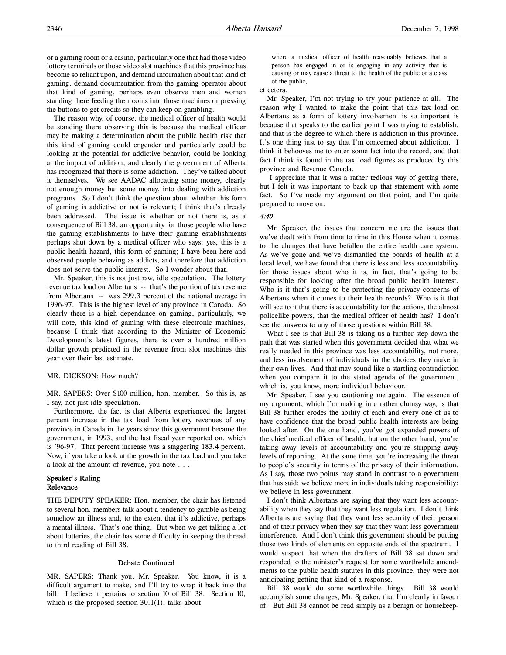or a gaming room or a casino, particularly one that had those video lottery terminals or those video slot machines that this province has become so reliant upon, and demand information about that kind of gaming, demand documentation from the gaming operator about that kind of gaming, perhaps even observe men and women standing there feeding their coins into those machines or pressing the buttons to get credits so they can keep on gambling.

The reason why, of course, the medical officer of health would be standing there observing this is because the medical officer may be making a determination about the public health risk that this kind of gaming could engender and particularly could be looking at the potential for addictive behavior, could be looking at the impact of addition, and clearly the government of Alberta has recognized that there is some addiction. They've talked about it themselves. We see AADAC allocating some money, clearly not enough money but some money, into dealing with addiction programs. So I don't think the question about whether this form of gaming is addictive or not is relevant; I think that's already been addressed. The issue is whether or not there is, as a consequence of Bill 38, an opportunity for those people who have the gaming establishments to have their gaming establishments perhaps shut down by a medical officer who says: yes, this is a public health hazard, this form of gaming; I have been here and observed people behaving as addicts, and therefore that addiction does not serve the public interest. So I wonder about that.

Mr. Speaker, this is not just raw, idle speculation. The lottery revenue tax load on Albertans -- that's the portion of tax revenue from Albertans -- was 299.3 percent of the national average in 1996-97. This is the highest level of any province in Canada. So clearly there is a high dependance on gaming, particularly, we will note, this kind of gaming with these electronic machines, because I think that according to the Minister of Economic Development's latest figures, there is over a hundred million dollar growth predicted in the revenue from slot machines this year over their last estimate.

#### MR. DICKSON: How much?

MR. SAPERS: Over \$100 million, hon. member. So this is, as I say, not just idle speculation.

Furthermore, the fact is that Alberta experienced the largest percent increase in the tax load from lottery revenues of any province in Canada in the years since this government became the government, in 1993, and the last fiscal year reported on, which is '96-97. That percent increase was a staggering 183.4 percent. Now, if you take a look at the growth in the tax load and you take a look at the amount of revenue, you note . . .

### Speaker's Ruling Relevance

THE DEPUTY SPEAKER: Hon. member, the chair has listened to several hon. members talk about a tendency to gamble as being somehow an illness and, to the extent that it's addictive, perhaps a mental illness. That's one thing. But when we get talking a lot about lotteries, the chair has some difficulty in keeping the thread to third reading of Bill 38.

#### Debate Continued

MR. SAPERS: Thank you, Mr. Speaker. You know, it is a difficult argument to make, and I'll try to wrap it back into the bill. I believe it pertains to section 10 of Bill 38. Section 10, which is the proposed section 30.1(1), talks about

where a medical officer of health reasonably believes that a person has engaged in or is engaging in any activity that is causing or may cause a threat to the health of the public or a class of the public,

#### et cetera.

Mr. Speaker, I'm not trying to try your patience at all. The reason why I wanted to make the point that this tax load on Albertans as a form of lottery involvement is so important is because that speaks to the earlier point I was trying to establish, and that is the degree to which there is addiction in this province. It's one thing just to say that I'm concerned about addiction. I think it behooves me to enter some fact into the record, and that fact I think is found in the tax load figures as produced by this province and Revenue Canada.

 I appreciate that it was a rather tedious way of getting there, but I felt it was important to back up that statement with some fact. So I've made my argument on that point, and I'm quite prepared to move on.

# 4:40

Mr. Speaker, the issues that concern me are the issues that we've dealt with from time to time in this House when it comes to the changes that have befallen the entire health care system. As we've gone and we've dismantled the boards of health at a local level, we have found that there is less and less accountability for those issues about who it is, in fact, that's going to be responsible for looking after the broad public health interest. Who is it that's going to be protecting the privacy concerns of Albertans when it comes to their health records? Who is it that will see to it that there is accountability for the actions, the almost policelike powers, that the medical officer of health has? I don't see the answers to any of those questions within Bill 38.

What I see is that Bill 38 is taking us a further step down the path that was started when this government decided that what we really needed in this province was less accountability, not more, and less involvement of individuals in the choices they make in their own lives. And that may sound like a startling contradiction when you compare it to the stated agenda of the government, which is, you know, more individual behaviour.

Mr. Speaker, I see you cautioning me again. The essence of my argument, which I'm making in a rather clumsy way, is that Bill 38 further erodes the ability of each and every one of us to have confidence that the broad public health interests are being looked after. On the one hand, you've got expanded powers of the chief medical officer of health, but on the other hand, you're taking away levels of accountability and you're stripping away levels of reporting. At the same time, you're increasing the threat to people's security in terms of the privacy of their information. As I say, those two points may stand in contrast to a government that has said: we believe more in individuals taking responsibility; we believe in less government.

I don't think Albertans are saying that they want less accountability when they say that they want less regulation. I don't think Albertans are saying that they want less security of their person and of their privacy when they say that they want less government interference. And I don't think this government should be putting those two kinds of elements on opposite ends of the spectrum. I would suspect that when the drafters of Bill 38 sat down and responded to the minister's request for some worthwhile amendments to the public health statutes in this province, they were not anticipating getting that kind of a response.

Bill 38 would do some worthwhile things. Bill 38 would accomplish some changes, Mr. Speaker, that I'm clearly in favour of. But Bill 38 cannot be read simply as a benign or housekeep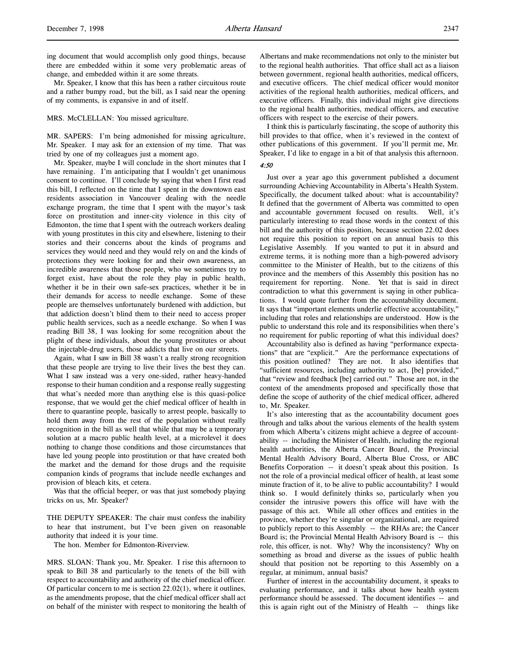ing document that would accomplish only good things, because there are embedded within it some very problematic areas of change, and embedded within it are some threats.

Mr. Speaker, I know that this has been a rather circuitous route and a rather bumpy road, but the bill, as I said near the opening of my comments, is expansive in and of itself.

MRS. McCLELLAN: You missed agriculture.

MR. SAPERS: I'm being admonished for missing agriculture, Mr. Speaker. I may ask for an extension of my time. That was tried by one of my colleagues just a moment ago.

Mr. Speaker, maybe I will conclude in the short minutes that I have remaining. I'm anticipating that I wouldn't get unanimous consent to continue. I'll conclude by saying that when I first read this bill, I reflected on the time that I spent in the downtown east residents association in Vancouver dealing with the needle exchange program, the time that I spent with the mayor's task force on prostitution and inner-city violence in this city of Edmonton, the time that I spent with the outreach workers dealing with young prostitutes in this city and elsewhere, listening to their stories and their concerns about the kinds of programs and services they would need and they would rely on and the kinds of protections they were looking for and their own awareness, an incredible awareness that those people, who we sometimes try to forget exist, have about the role they play in public health, whether it be in their own safe-sex practices, whether it be in their demands for access to needle exchange. Some of these people are themselves unfortunately burdened with addiction, but that addiction doesn't blind them to their need to access proper public health services, such as a needle exchange. So when I was reading Bill 38, I was looking for some recognition about the plight of these individuals, about the young prostitutes or about the injectable-drug users, those addicts that live on our streets.

Again, what I saw in Bill 38 wasn't a really strong recognition that these people are trying to live their lives the best they can. What I saw instead was a very one-sided, rather heavy-handed response to their human condition and a response really suggesting that what's needed more than anything else is this quasi-police response, that we would get the chief medical officer of health in there to quarantine people, basically to arrest people, basically to hold them away from the rest of the population without really recognition in the bill as well that while that may be a temporary solution at a macro public health level, at a microlevel it does nothing to change those conditions and those circumstances that have led young people into prostitution or that have created both the market and the demand for those drugs and the requisite companion kinds of programs that include needle exchanges and provision of bleach kits, et cetera.

Was that the official beeper, or was that just somebody playing tricks on us, Mr. Speaker?

THE DEPUTY SPEAKER: The chair must confess the inability to hear that instrument, but I've been given on reasonable authority that indeed it is your time.

The hon. Member for Edmonton-Riverview.

MRS. SLOAN: Thank you, Mr. Speaker. I rise this afternoon to speak to Bill 38 and particularly to the tenets of the bill with respect to accountability and authority of the chief medical officer. Of particular concern to me is section 22.02(1), where it outlines, as the amendments propose, that the chief medical officer shall act on behalf of the minister with respect to monitoring the health of Albertans and make recommendations not only to the minister but to the regional health authorities. That office shall act as a liaison between government, regional health authorities, medical officers, and executive officers. The chief medical officer would monitor activities of the regional health authorities, medical officers, and executive officers. Finally, this individual might give directions to the regional health authorities, medical officers, and executive officers with respect to the exercise of their powers.

I think this is particularly fascinating, the scope of authority this bill provides to that office, when it's reviewed in the context of other publications of this government. If you'll permit me, Mr. Speaker, I'd like to engage in a bit of that analysis this afternoon.

# 4:50

Just over a year ago this government published a document surrounding Achieving Accountability in Alberta's Health System. Specifically, the document talked about: what is accountability? It defined that the government of Alberta was committed to open and accountable government focused on results. Well, it's particularly interesting to read those words in the context of this bill and the authority of this position, because section 22.02 does not require this position to report on an annual basis to this Legislative Assembly. If you wanted to put it in absurd and extreme terms, it is nothing more than a high-powered advisory committee to the Minister of Health, but to the citizens of this province and the members of this Assembly this position has no requirement for reporting. None. Yet that is said in direct contradiction to what this government is saying in other publications. I would quote further from the accountability document. It says that "important elements underlie effective accountability," including that roles and relationships are understood. How is the public to understand this role and its responsibilities when there's no requirement for public reporting of what this individual does?

Accountability also is defined as having "performance expectations" that are "explicit." Are the performance expectations of this position outlined? They are not. It also identifies that "sufficient resources, including authority to act, [be] provided," that "review and feedback [be] carried out." Those are not, in the context of the amendments proposed and specifically those that define the scope of authority of the chief medical officer, adhered to, Mr. Speaker.

It's also interesting that as the accountability document goes through and talks about the various elements of the health system from which Alberta's citizens might achieve a degree of accountability -- including the Minister of Health, including the regional health authorities, the Alberta Cancer Board, the Provincial Mental Health Advisory Board, Alberta Blue Cross, or ABC Benefits Corporation -- it doesn't speak about this position. Is not the role of a provincial medical officer of health, at least some minute fraction of it, to be alive to public accountability? I would think so. I would definitely thinks so, particularly when you consider the intrusive powers this office will have with the passage of this act. While all other offices and entities in the province, whether they're singular or organizational, are required to publicly report to this Assembly -- the RHAs are; the Cancer Board is; the Provincial Mental Health Advisory Board is -- this role, this officer, is not. Why? Why the inconsistency? Why on something as broad and diverse as the issues of public health should that position not be reporting to this Assembly on a regular, at minimum, annual basis?

Further of interest in the accountability document, it speaks to evaluating performance, and it talks about how health system performance should be assessed. The document identifies -- and this is again right out of the Ministry of Health -- things like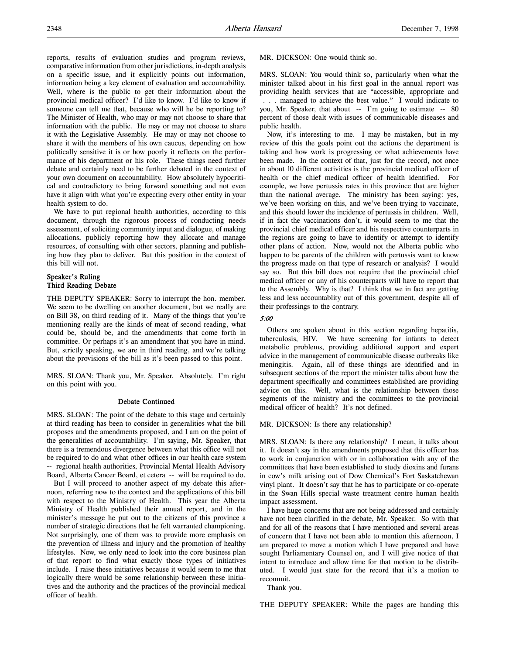reports, results of evaluation studies and program reviews, comparative information from other jurisdictions, in-depth analysis on a specific issue, and it explicitly points out information, information being a key element of evaluation and accountability. Well, where is the public to get their information about the provincial medical officer? I'd like to know. I'd like to know if someone can tell me that, because who will he be reporting to? The Minister of Health, who may or may not choose to share that information with the public. He may or may not choose to share it with the Legislative Assembly. He may or may not choose to share it with the members of his own caucus, depending on how politically sensitive it is or how poorly it reflects on the performance of his department or his role. These things need further debate and certainly need to be further debated in the context of your own document on accountability. How absolutely hypocritical and contradictory to bring forward something and not even have it align with what you're expecting every other entity in your health system to do.

We have to put regional health authorities, according to this document, through the rigorous process of conducting needs assessment, of soliciting community input and dialogue, of making allocations, publicly reporting how they allocate and manage resources, of consulting with other sectors, planning and publishing how they plan to deliver. But this position in the context of this bill will not.

## Speaker's Ruling Third Reading Debate

THE DEPUTY SPEAKER: Sorry to interrupt the hon. member. We seem to be dwelling on another document, but we really are on Bill 38, on third reading of it. Many of the things that you're mentioning really are the kinds of meat of second reading, what could be, should be, and the amendments that come forth in committee. Or perhaps it's an amendment that you have in mind. But, strictly speaking, we are in third reading, and we're talking about the provisions of the bill as it's been passed to this point.

MRS. SLOAN: Thank you, Mr. Speaker. Absolutely. I'm right on this point with you.

### Debate Continued

MRS. SLOAN: The point of the debate to this stage and certainly at third reading has been to consider in generalities what the bill proposes and the amendments proposed, and I am on the point of the generalities of accountability. I'm saying, Mr. Speaker, that there is a tremendous divergence between what this office will not be required to do and what other offices in our health care system -- regional health authorities, Provincial Mental Health Advisory Board, Alberta Cancer Board, et cetera -- will be required to do.

But I will proceed to another aspect of my debate this afternoon, referring now to the context and the applications of this bill with respect to the Ministry of Health. This year the Alberta Ministry of Health published their annual report, and in the minister's message he put out to the citizens of this province a number of strategic directions that he felt warranted championing. Not surprisingly, one of them was to provide more emphasis on the prevention of illness and injury and the promotion of healthy lifestyles. Now, we only need to look into the core business plan of that report to find what exactly those types of initiatives include. I raise these initiatives because it would seem to me that logically there would be some relationship between these initiatives and the authority and the practices of the provincial medical officer of health.

MR. DICKSON: One would think so.

MRS. SLOAN: You would think so, particularly when what the minister talked about in his first goal in the annual report was providing health services that are "accessible, appropriate and . . . managed to achieve the best value." I would indicate to you, Mr. Speaker, that about -- I'm going to estimate -- 80 percent of those dealt with issues of communicable diseases and public health.

Now, it's interesting to me. I may be mistaken, but in my review of this the goals point out the actions the department is taking and how work is progressing or what achievements have been made. In the context of that, just for the record, not once in about 10 different activities is the provincial medical officer of health or the chief medical officer of health identified. For example, we have pertussis rates in this province that are higher than the national average. The ministry has been saying: yes, we've been working on this, and we've been trying to vaccinate, and this should lower the incidence of pertussis in children. Well, if in fact the vaccinations don't, it would seem to me that the provincial chief medical officer and his respective counterparts in the regions are going to have to identify or attempt to identify other plans of action. Now, would not the Alberta public who happen to be parents of the children with pertussis want to know the progress made on that type of research or analysis? I would say so. But this bill does not require that the provincial chief medical officer or any of his counterparts will have to report that to the Assembly. Why is that? I think that we in fact are getting less and less accountablity out of this government, despite all of their professings to the contrary.

#### 5:00

Others are spoken about in this section regarding hepatitis, tuberculosis, HIV. We have screening for infants to detect metabolic problems, providing additional support and expert advice in the management of communicable disease outbreaks like meningitis. Again, all of these things are identified and in subsequent sections of the report the minister talks about how the department specifically and committees established are providing advice on this. Well, what is the relationship between those segments of the ministry and the committees to the provincial medical officer of health? It's not defined.

MR. DICKSON: Is there any relationship?

MRS. SLOAN: Is there any relationship? I mean, it talks about it. It doesn't say in the amendments proposed that this officer has to work in conjunction with or in collaboration with any of the committees that have been established to study dioxins and furans in cow's milk arising out of Dow Chemical's Fort Saskatchewan vinyl plant. It doesn't say that he has to participate or co-operate in the Swan Hills special waste treatment centre human health impact assessment.

I have huge concerns that are not being addressed and certainly have not been clarified in the debate, Mr. Speaker. So with that and for all of the reasons that I have mentioned and several areas of concern that I have not been able to mention this afternoon, I am prepared to move a motion which I have prepared and have sought Parliamentary Counsel on, and I will give notice of that intent to introduce and allow time for that motion to be distributed. I would just state for the record that it's a motion to recommit.

Thank you.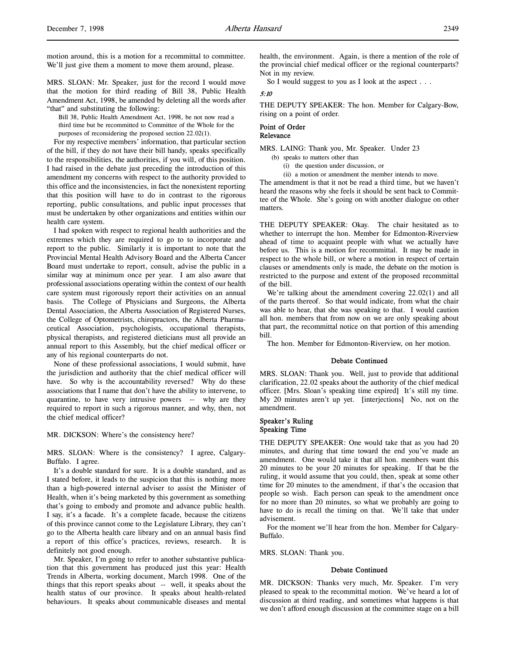motion around, this is a motion for a recommittal to committee. We'll just give them a moment to move them around, please.

MRS. SLOAN: Mr. Speaker, just for the record I would move that the motion for third reading of Bill 38, Public Health Amendment Act, 1998, be amended by deleting all the words after "that" and substituting the following:

Bill 38, Public Health Amendment Act, 1998, be not now read a third time but be recommitted to Committee of the Whole for the purposes of reconsidering the proposed section 22.02(1).

For my respective members' information, that particular section of the bill, if they do not have their bill handy, speaks specifically to the responsibilities, the authorities, if you will, of this position. I had raised in the debate just preceding the introduction of this amendment my concerns with respect to the authority provided to this office and the inconsistencies, in fact the nonexistent reporting that this position will have to do in contrast to the rigorous reporting, public consultations, and public input processes that must be undertaken by other organizations and entities within our health care system.

I had spoken with respect to regional health authorities and the extremes which they are required to go to to incorporate and report to the public. Similarly it is important to note that the Provincial Mental Health Advisory Board and the Alberta Cancer Board must undertake to report, consult, advise the public in a similar way at minimum once per year. I am also aware that professional associations operating within the context of our health care system must rigorously report their activities on an annual basis. The College of Physicians and Surgeons, the Alberta Dental Association, the Alberta Association of Registered Nurses, the College of Optometrists, chiropractors, the Alberta Pharmaceutical Association, psychologists, occupational therapists, physical therapists, and registered dieticians must all provide an annual report to this Assembly, but the chief medical officer or any of his regional counterparts do not.

None of these professional associations, I would submit, have the jurisdiction and authority that the chief medical officer will have. So why is the accountability reversed? Why do these associations that I name that don't have the ability to intervene, to quarantine, to have very intrusive powers -- why are they required to report in such a rigorous manner, and why, then, not the chief medical officer?

MR. DICKSON: Where's the consistency here?

MRS. SLOAN: Where is the consistency? I agree, Calgary-Buffalo. I agree.

It's a double standard for sure. It is a double standard, and as I stated before, it leads to the suspicion that this is nothing more than a high-powered internal adviser to assist the Minister of Health, when it's being marketed by this government as something that's going to embody and promote and advance public health. I say, it's a facade. It's a complete facade, because the citizens of this province cannot come to the Legislature Library, they can't go to the Alberta health care library and on an annual basis find a report of this office's practices, reviews, research. It is definitely not good enough.

Mr. Speaker, I'm going to refer to another substantive publication that this government has produced just this year: Health Trends in Alberta, working document, March 1998. One of the things that this report speaks about -- well, it speaks about the health status of our province. It speaks about health-related behaviours. It speaks about communicable diseases and mental

health, the environment. Again, is there a mention of the role of the provincial chief medical officer or the regional counterparts? Not in my review.

So I would suggest to you as I look at the aspect . . .

# 5:10

THE DEPUTY SPEAKER: The hon. Member for Calgary-Bow, rising on a point of order.

#### Point of Order Relevance

MRS. LAING: Thank you, Mr. Speaker. Under 23

(b) speaks to matters other than

(i) the question under discussion, or

(ii) a motion or amendment the member intends to move.

The amendment is that it not be read a third time, but we haven't heard the reasons why she feels it should be sent back to Committee of the Whole. She's going on with another dialogue on other matters.

THE DEPUTY SPEAKER: Okay. The chair hesitated as to whether to interrupt the hon. Member for Edmonton-Riverview ahead of time to acquaint people with what we actually have before us. This is a motion for recommittal. It may be made in respect to the whole bill, or where a motion in respect of certain clauses or amendments only is made, the debate on the motion is restricted to the purpose and extent of the proposed recommittal of the bill.

We're talking about the amendment covering 22.02(1) and all of the parts thereof. So that would indicate, from what the chair was able to hear, that she was speaking to that. I would caution all hon. members that from now on we are only speaking about that part, the recommittal notice on that portion of this amending bill.

The hon. Member for Edmonton-Riverview, on her motion.

#### Debate Continued

MRS. SLOAN: Thank you. Well, just to provide that additional clarification, 22.02 speaks about the authority of the chief medical officer. [Mrs. Sloan's speaking time expired] It's still my time. My 20 minutes aren't up yet. [interjections] No, not on the amendment.

#### Speaker's Ruling Speaking Time

THE DEPUTY SPEAKER: One would take that as you had 20 minutes, and during that time toward the end you've made an amendment. One would take it that all hon. members want this 20 minutes to be your 20 minutes for speaking. If that be the ruling, it would assume that you could, then, speak at some other time for 20 minutes to the amendment, if that's the occasion that people so wish. Each person can speak to the amendment once for no more than 20 minutes, so what we probably are going to have to do is recall the timing on that. We'll take that under advisement.

For the moment we'll hear from the hon. Member for Calgary-Buffalo.

MRS. SLOAN: Thank you.

### Debate Continued

MR. DICKSON: Thanks very much, Mr. Speaker. I'm very pleased to speak to the recommittal motion. We've heard a lot of discussion at third reading, and sometimes what happens is that we don't afford enough discussion at the committee stage on a bill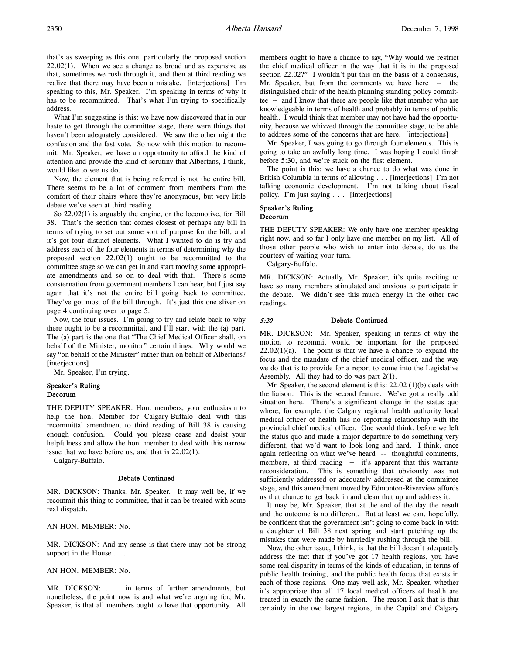that's as sweeping as this one, particularly the proposed section  $22.02(1)$ . When we see a change as broad and as expansive as that, sometimes we rush through it, and then at third reading we realize that there may have been a mistake. [interjections] I'm speaking to this, Mr. Speaker. I'm speaking in terms of why it has to be recommitted. That's what I'm trying to specifically address.

What I'm suggesting is this: we have now discovered that in our haste to get through the committee stage, there were things that haven't been adequately considered. We saw the other night the confusion and the fast vote. So now with this motion to recommit, Mr. Speaker, we have an opportunity to afford the kind of attention and provide the kind of scrutiny that Albertans, I think, would like to see us do.

Now, the element that is being referred is not the entire bill. There seems to be a lot of comment from members from the comfort of their chairs where they're anonymous, but very little debate we've seen at third reading.

So 22.02(1) is arguably the engine, or the locomotive, for Bill 38. That's the section that comes closest of perhaps any bill in terms of trying to set out some sort of purpose for the bill, and it's got four distinct elements. What I wanted to do is try and address each of the four elements in terms of determining why the proposed section 22.02(1) ought to be recommitted to the committee stage so we can get in and start moving some appropriate amendments and so on to deal with that. There's some consternation from government members I can hear, but I just say again that it's not the entire bill going back to committee. They've got most of the bill through. It's just this one sliver on page 4 continuing over to page 5.

Now, the four issues. I'm going to try and relate back to why there ought to be a recommittal, and I'll start with the (a) part. The (a) part is the one that "The Chief Medical Officer shall, on behalf of the Minister, monitor" certain things. Why would we say "on behalf of the Minister" rather than on behalf of Albertans? [interjections]

Mr. Speaker, I'm trying.

# Speaker's Ruling Decorum

THE DEPUTY SPEAKER: Hon. members, your enthusiasm to help the hon. Member for Calgary-Buffalo deal with this recommittal amendment to third reading of Bill 38 is causing enough confusion. Could you please cease and desist your helpfulness and allow the hon. member to deal with this narrow issue that we have before us, and that is 22.02(1).

Calgary-Buffalo.

#### Debate Continued

MR. DICKSON: Thanks, Mr. Speaker. It may well be, if we recommit this thing to committee, that it can be treated with some real dispatch.

AN HON. MEMBER: No.

MR. DICKSON: And my sense is that there may not be strong support in the House . . .

AN HON. MEMBER: No.

MR. DICKSON: . . . in terms of further amendments, but nonetheless, the point now is and what we're arguing for, Mr. Speaker, is that all members ought to have that opportunity. All members ought to have a chance to say, "Why would we restrict the chief medical officer in the way that it is in the proposed section 22.02?" I wouldn't put this on the basis of a consensus, Mr. Speaker, but from the comments we have here -- the distinguished chair of the health planning standing policy committee -- and I know that there are people like that member who are knowledgeable in terms of health and probably in terms of public health. I would think that member may not have had the opportunity, because we whizzed through the committee stage, to be able to address some of the concerns that are here. [interjections]

Mr. Speaker, I was going to go through four elements. This is going to take an awfully long time. I was hoping I could finish before 5:30, and we're stuck on the first element.

The point is this: we have a chance to do what was done in British Columbia in terms of allowing . . . [interjections] I'm not talking economic development. I'm not talking about fiscal policy. I'm just saying . . . [interjections]

# Speaker's Ruling Decorum

THE DEPUTY SPEAKER: We only have one member speaking right now, and so far I only have one member on my list. All of those other people who wish to enter into debate, do us the courtesy of waiting your turn.

Calgary-Buffalo.

MR. DICKSON: Actually, Mr. Speaker, it's quite exciting to have so many members stimulated and anxious to participate in the debate. We didn't see this much energy in the other two readings.

### 5:20 Debate Continued

MR. DICKSON: Mr. Speaker, speaking in terms of why the motion to recommit would be important for the proposed  $22.02(1)(a)$ . The point is that we have a chance to expand the focus and the mandate of the chief medical officer, and the way we do that is to provide for a report to come into the Legislative Assembly. All they had to do was part 2(1).

Mr. Speaker, the second element is this: 22.02 (1)(b) deals with the liaison. This is the second feature. We've got a really odd situation here. There's a significant change in the status quo where, for example, the Calgary regional health authority local medical officer of health has no reporting relationship with the provincial chief medical officer. One would think, before we left the status quo and made a major departure to do something very different, that we'd want to look long and hard. I think, once again reflecting on what we've heard -- thoughtful comments, members, at third reading -- it's apparent that this warrants reconsideration. This is something that obviously was not sufficiently addressed or adequately addressed at the committee stage, and this amendment moved by Edmonton-Riverview affords us that chance to get back in and clean that up and address it.

It may be, Mr. Speaker, that at the end of the day the result and the outcome is no different. But at least we can, hopefully, be confident that the government isn't going to come back in with a daughter of Bill 38 next spring and start patching up the mistakes that were made by hurriedly rushing through the bill.

Now, the other issue, I think, is that the bill doesn't adequately address the fact that if you've got 17 health regions, you have some real disparity in terms of the kinds of education, in terms of public health training, and the public health focus that exists in each of those regions. One may well ask, Mr. Speaker, whether it's appropriate that all 17 local medical officers of health are treated in exactly the same fashion. The reason I ask that is that certainly in the two largest regions, in the Capital and Calgary